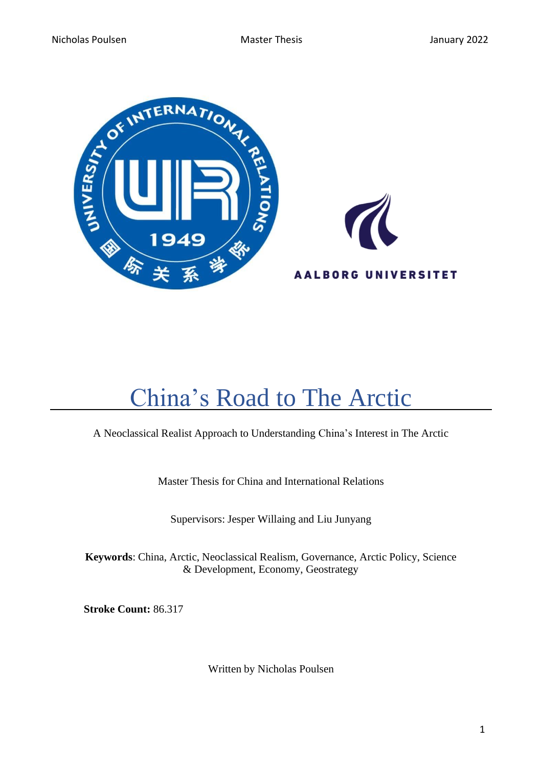



# <span id="page-0-0"></span>China's Road to The Arctic

# A Neoclassical Realist Approach to Understanding China's Interest in The Arctic

Master Thesis for China and International Relations

Supervisors: Jesper Willaing and Liu Junyang

**Keywords**: China, Arctic, Neoclassical Realism, Governance, Arctic Policy, Science & Development, Economy, Geostrategy

 **Stroke Count:** 86.317

Written by Nicholas Poulsen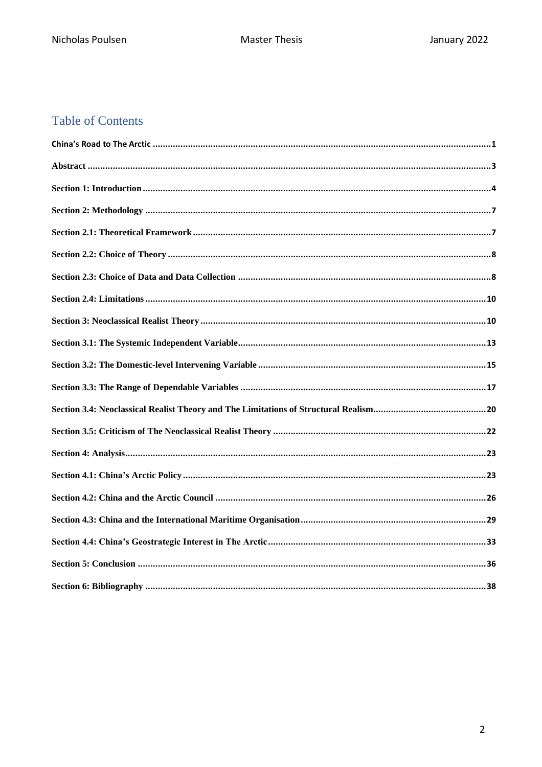# **Table of Contents**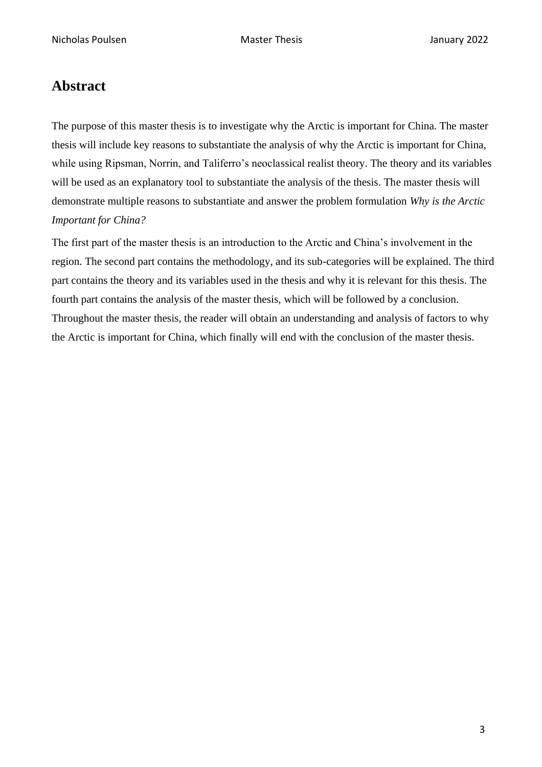# <span id="page-2-0"></span>**Abstract**

The purpose of this master thesis is to investigate why the Arctic is important for China. The master thesis will include key reasons to substantiate the analysis of why the Arctic is important for China, while using Ripsman, Norrin, and Taliferro's neoclassical realist theory. The theory and its variables will be used as an explanatory tool to substantiate the analysis of the thesis. The master thesis will demonstrate multiple reasons to substantiate and answer the problem formulation *Why is the Arctic Important for China?*

The first part of the master thesis is an introduction to the Arctic and China's involvement in the region. The second part contains the methodology, and its sub-categories will be explained. The third part contains the theory and its variables used in the thesis and why it is relevant for this thesis. The fourth part contains the analysis of the master thesis, which will be followed by a conclusion. Throughout the master thesis, the reader will obtain an understanding and analysis of factors to why the Arctic is important for China, which finally will end with the conclusion of the master thesis.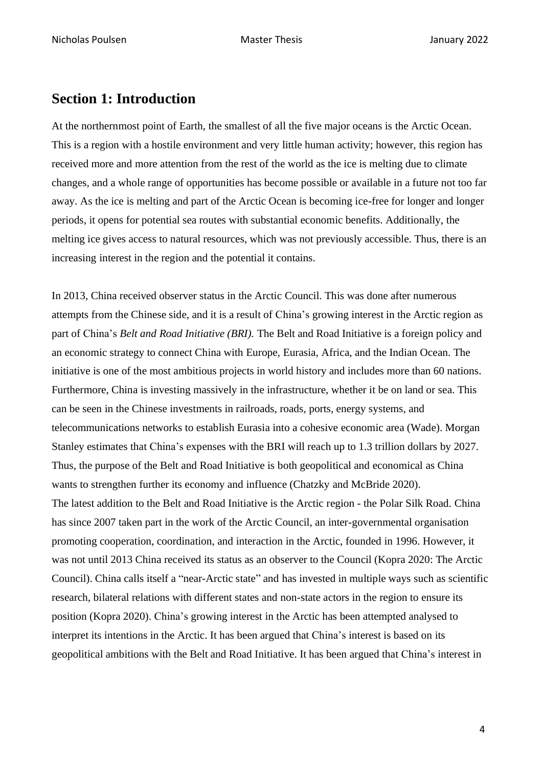# <span id="page-3-0"></span>**Section 1: Introduction**

At the northernmost point of Earth, the smallest of all the five major oceans is the Arctic Ocean. This is a region with a hostile environment and very little human activity; however, this region has received more and more attention from the rest of the world as the ice is melting due to climate changes, and a whole range of opportunities has become possible or available in a future not too far away. As the ice is melting and part of the Arctic Ocean is becoming ice-free for longer and longer periods, it opens for potential sea routes with substantial economic benefits. Additionally, the melting ice gives access to natural resources, which was not previously accessible. Thus, there is an increasing interest in the region and the potential it contains.

In 2013, China received observer status in the Arctic Council. This was done after numerous attempts from the Chinese side, and it is a result of China's growing interest in the Arctic region as part of China's *Belt and Road Initiative (BRI).* The Belt and Road Initiative is a foreign policy and an economic strategy to connect China with Europe, Eurasia, Africa, and the Indian Ocean. The initiative is one of the most ambitious projects in world history and includes more than 60 nations. Furthermore, China is investing massively in the infrastructure, whether it be on land or sea. This can be seen in the Chinese investments in railroads, roads, ports, energy systems, and telecommunications networks to establish Eurasia into a cohesive economic area (Wade). Morgan Stanley estimates that China's expenses with the BRI will reach up to 1.3 trillion dollars by 2027. Thus, the purpose of the Belt and Road Initiative is both geopolitical and economical as China wants to strengthen further its economy and influence (Chatzky and McBride 2020). The latest addition to the Belt and Road Initiative is the Arctic region - the Polar Silk Road. China has since 2007 taken part in the work of the Arctic Council, an inter-governmental organisation promoting cooperation, coordination, and interaction in the Arctic, founded in 1996. However, it was not until 2013 China received its status as an observer to the Council (Kopra 2020: The Arctic Council). China calls itself a "near-Arctic state" and has invested in multiple ways such as scientific research, bilateral relations with different states and non-state actors in the region to ensure its position (Kopra 2020). China's growing interest in the Arctic has been attempted analysed to interpret its intentions in the Arctic. It has been argued that China's interest is based on its geopolitical ambitions with the Belt and Road Initiative. It has been argued that China's interest in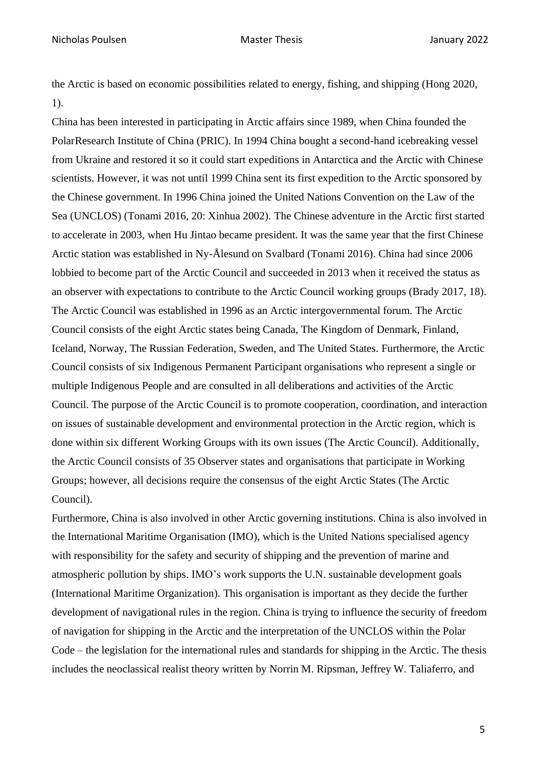Nicholas Poulsen Master Thesis January 2022

the Arctic is based on economic possibilities related to energy, fishing, and shipping (Hong 2020, 1).

China has been interested in participating in Arctic affairs since 1989, when China founded the PolarResearch Institute of China (PRIC). In 1994 China bought a second-hand icebreaking vessel from Ukraine and restored it so it could start expeditions in Antarctica and the Arctic with Chinese scientists. However, it was not until 1999 China sent its first expedition to the Arctic sponsored by the Chinese government. In 1996 China joined the United Nations Convention on the Law of the Sea (UNCLOS) (Tonami 2016, 20: Xinhua 2002). The Chinese adventure in the Arctic first started to accelerate in 2003, when Hu Jintao became president. It was the same year that the first Chinese Arctic station was established in Ny-Ålesund on Svalbard (Tonami 2016). China had since 2006 lobbied to become part of the Arctic Council and succeeded in 2013 when it received the status as an observer with expectations to contribute to the Arctic Council working groups (Brady 2017, 18). The Arctic Council was established in 1996 as an Arctic intergovernmental forum. The Arctic Council consists of the eight Arctic states being Canada, The Kingdom of Denmark, Finland, Iceland, Norway, The Russian Federation, Sweden, and The United States. Furthermore, the Arctic Council consists of six Indigenous Permanent Participant organisations who represent a single or multiple Indigenous People and are consulted in all deliberations and activities of the Arctic Council. The purpose of the Arctic Council is to promote cooperation, coordination, and interaction on issues of sustainable development and environmental protection in the Arctic region, which is done within six different Working Groups with its own issues (The Arctic Council). Additionally, the Arctic Council consists of 35 Observer states and organisations that participate in Working Groups; however, all decisions require the consensus of the eight Arctic States (The Arctic Council).

Furthermore, China is also involved in other Arctic governing institutions. China is also involved in the International Maritime Organisation (IMO), which is the United Nations specialised agency with responsibility for the safety and security of shipping and the prevention of marine and atmospheric pollution by ships. IMO's work supports the U.N. sustainable development goals (International Maritime Organization). This organisation is important as they decide the further development of navigational rules in the region. China is trying to influence the security of freedom of navigation for shipping in the Arctic and the interpretation of the UNCLOS within the Polar Code – the legislation for the international rules and standards for shipping in the Arctic. The thesis includes the neoclassical realist theory written by Norrin M. Ripsman, Jeffrey W. Taliaferro, and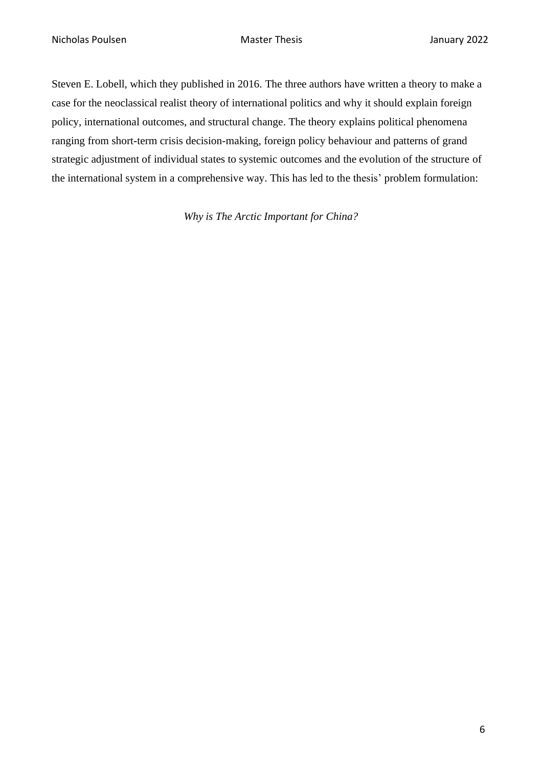Steven E. Lobell, which they published in 2016. The three authors have written a theory to make a case for the neoclassical realist theory of international politics and why it should explain foreign policy, international outcomes, and structural change. The theory explains political phenomena ranging from short-term crisis decision-making, foreign policy behaviour and patterns of grand strategic adjustment of individual states to systemic outcomes and the evolution of the structure of the international system in a comprehensive way. This has led to the thesis' problem formulation:

*Why is The Arctic Important for China?*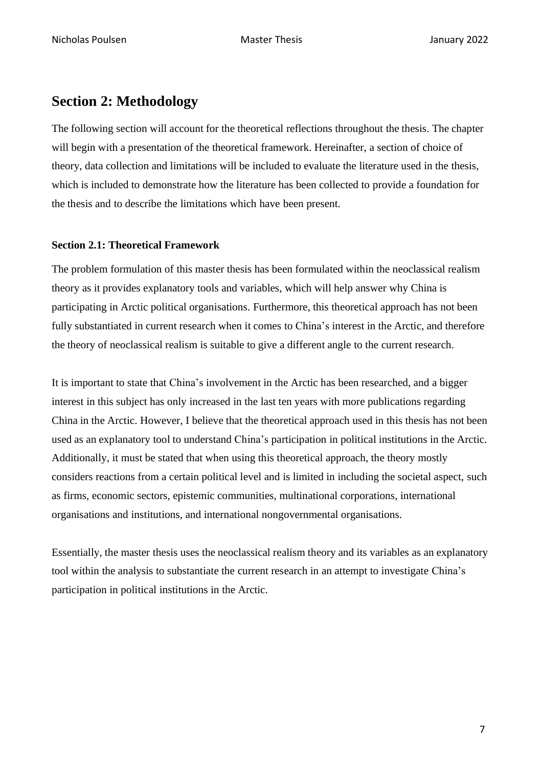# <span id="page-6-0"></span>**Section 2: Methodology**

The following section will account for the theoretical reflections throughout the thesis. The chapter will begin with a presentation of the theoretical framework. Hereinafter, a section of choice of theory, data collection and limitations will be included to evaluate the literature used in the thesis, which is included to demonstrate how the literature has been collected to provide a foundation for the thesis and to describe the limitations which have been present.

### <span id="page-6-1"></span>**Section 2.1: Theoretical Framework**

The problem formulation of this master thesis has been formulated within the neoclassical realism theory as it provides explanatory tools and variables, which will help answer why China is participating in Arctic political organisations. Furthermore, this theoretical approach has not been fully substantiated in current research when it comes to China's interest in the Arctic, and therefore the theory of neoclassical realism is suitable to give a different angle to the current research.

It is important to state that China's involvement in the Arctic has been researched, and a bigger interest in this subject has only increased in the last ten years with more publications regarding China in the Arctic. However, I believe that the theoretical approach used in this thesis has not been used as an explanatory tool to understand China's participation in political institutions in the Arctic. Additionally, it must be stated that when using this theoretical approach, the theory mostly considers reactions from a certain political level and is limited in including the societal aspect, such as firms, economic sectors, epistemic communities, multinational corporations, international organisations and institutions, and international nongovernmental organisations.

Essentially, the master thesis uses the neoclassical realism theory and its variables as an explanatory tool within the analysis to substantiate the current research in an attempt to investigate China's participation in political institutions in the Arctic.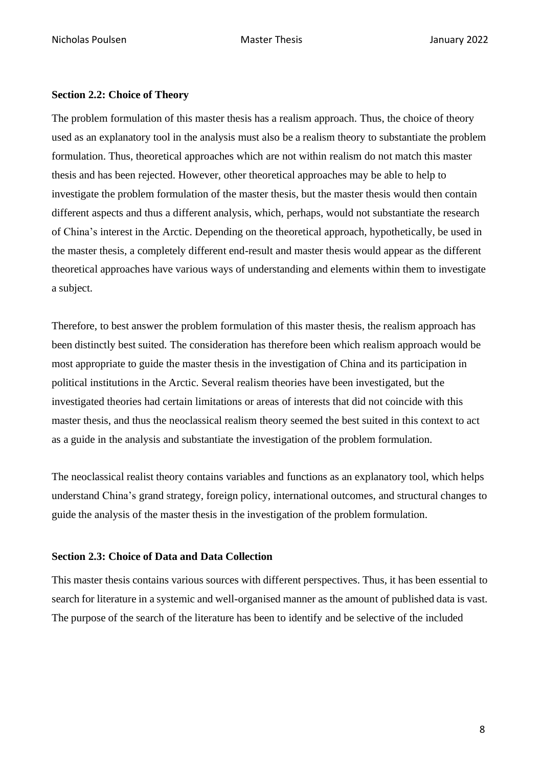### <span id="page-7-0"></span>**Section 2.2: Choice of Theory**

The problem formulation of this master thesis has a realism approach. Thus, the choice of theory used as an explanatory tool in the analysis must also be a realism theory to substantiate the problem formulation. Thus, theoretical approaches which are not within realism do not match this master thesis and has been rejected. However, other theoretical approaches may be able to help to investigate the problem formulation of the master thesis, but the master thesis would then contain different aspects and thus a different analysis, which, perhaps, would not substantiate the research of China's interest in the Arctic. Depending on the theoretical approach, hypothetically, be used in the master thesis, a completely different end-result and master thesis would appear as the different theoretical approaches have various ways of understanding and elements within them to investigate a subject.

Therefore, to best answer the problem formulation of this master thesis, the realism approach has been distinctly best suited. The consideration has therefore been which realism approach would be most appropriate to guide the master thesis in the investigation of China and its participation in political institutions in the Arctic. Several realism theories have been investigated, but the investigated theories had certain limitations or areas of interests that did not coincide with this master thesis, and thus the neoclassical realism theory seemed the best suited in this context to act as a guide in the analysis and substantiate the investigation of the problem formulation.

The neoclassical realist theory contains variables and functions as an explanatory tool, which helps understand China's grand strategy, foreign policy, international outcomes, and structural changes to guide the analysis of the master thesis in the investigation of the problem formulation.

### <span id="page-7-1"></span>**Section 2.3: Choice of Data and Data Collection**

This master thesis contains various sources with different perspectives. Thus, it has been essential to search for literature in a systemic and well-organised manner as the amount of published data is vast. The purpose of the search of the literature has been to identify and be selective of the included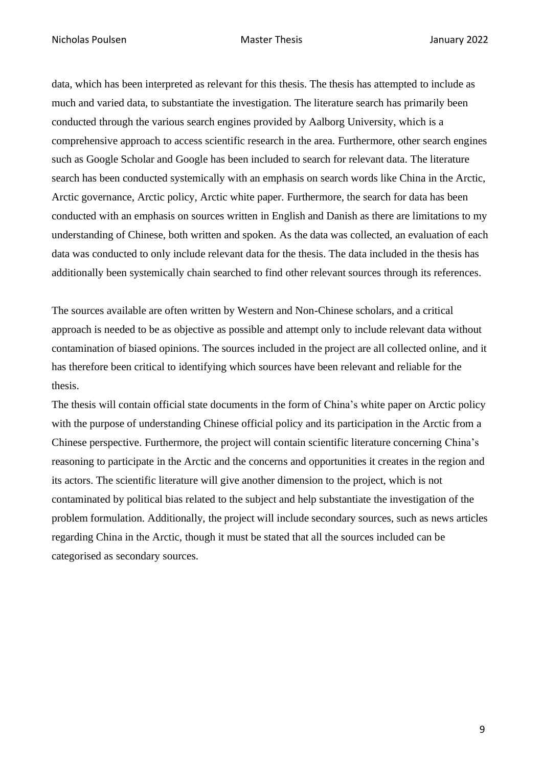data, which has been interpreted as relevant for this thesis. The thesis has attempted to include as much and varied data, to substantiate the investigation. The literature search has primarily been conducted through the various search engines provided by Aalborg University, which is a comprehensive approach to access scientific research in the area. Furthermore, other search engines such as Google Scholar and Google has been included to search for relevant data. The literature search has been conducted systemically with an emphasis on search words like China in the Arctic, Arctic governance, Arctic policy, Arctic white paper. Furthermore, the search for data has been conducted with an emphasis on sources written in English and Danish as there are limitations to my understanding of Chinese, both written and spoken. As the data was collected, an evaluation of each data was conducted to only include relevant data for the thesis. The data included in the thesis has additionally been systemically chain searched to find other relevant sources through its references.

The sources available are often written by Western and Non-Chinese scholars, and a critical approach is needed to be as objective as possible and attempt only to include relevant data without contamination of biased opinions. The sources included in the project are all collected online, and it has therefore been critical to identifying which sources have been relevant and reliable for the thesis.

The thesis will contain official state documents in the form of China's white paper on Arctic policy with the purpose of understanding Chinese official policy and its participation in the Arctic from a Chinese perspective. Furthermore, the project will contain scientific literature concerning China's reasoning to participate in the Arctic and the concerns and opportunities it creates in the region and its actors. The scientific literature will give another dimension to the project, which is not contaminated by political bias related to the subject and help substantiate the investigation of the problem formulation. Additionally, the project will include secondary sources, such as news articles regarding China in the Arctic, though it must be stated that all the sources included can be categorised as secondary sources.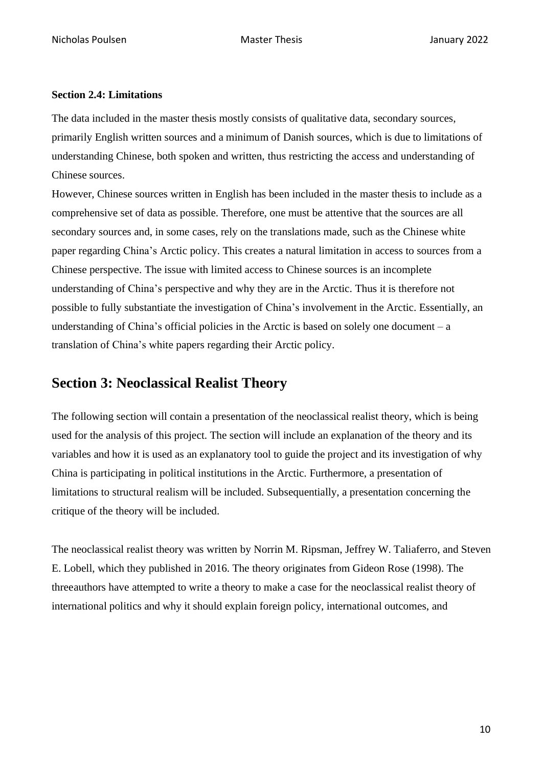### <span id="page-9-0"></span>**Section 2.4: Limitations**

The data included in the master thesis mostly consists of qualitative data, secondary sources, primarily English written sources and a minimum of Danish sources, which is due to limitations of understanding Chinese, both spoken and written, thus restricting the access and understanding of Chinese sources.

However, Chinese sources written in English has been included in the master thesis to include as a comprehensive set of data as possible. Therefore, one must be attentive that the sources are all secondary sources and, in some cases, rely on the translations made, such as the Chinese white paper regarding China's Arctic policy. This creates a natural limitation in access to sources from a Chinese perspective. The issue with limited access to Chinese sources is an incomplete understanding of China's perspective and why they are in the Arctic. Thus it is therefore not possible to fully substantiate the investigation of China's involvement in the Arctic. Essentially, an understanding of China's official policies in the Arctic is based on solely one document – a translation of China's white papers regarding their Arctic policy.

# <span id="page-9-1"></span>**Section 3: Neoclassical Realist Theory**

The following section will contain a presentation of the neoclassical realist theory, which is being used for the analysis of this project. The section will include an explanation of the theory and its variables and how it is used as an explanatory tool to guide the project and its investigation of why China is participating in political institutions in the Arctic. Furthermore, a presentation of limitations to structural realism will be included. Subsequentially, a presentation concerning the critique of the theory will be included.

The neoclassical realist theory was written by Norrin M. Ripsman, Jeffrey W. Taliaferro, and Steven E. Lobell, which they published in 2016. The theory originates from Gideon Rose (1998). The threeauthors have attempted to write a theory to make a case for the neoclassical realist theory of international politics and why it should explain foreign policy, international outcomes, and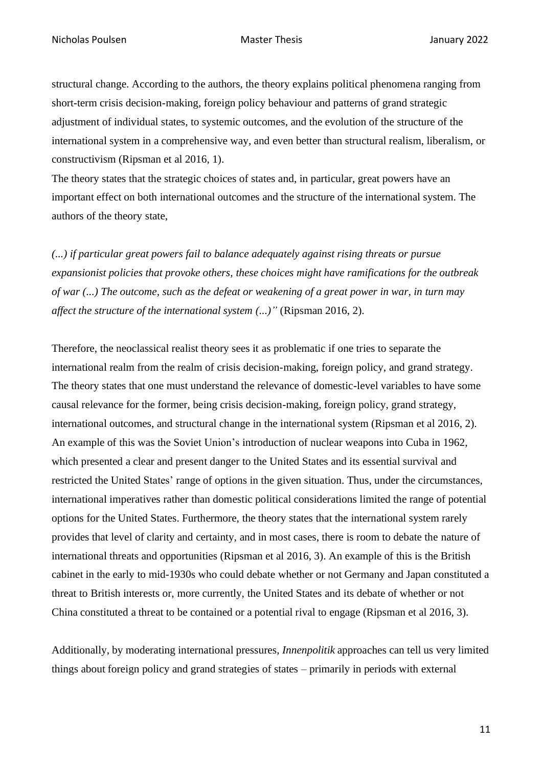structural change. According to the authors, the theory explains political phenomena ranging from short-term crisis decision-making, foreign policy behaviour and patterns of grand strategic adjustment of individual states, to systemic outcomes, and the evolution of the structure of the international system in a comprehensive way, and even better than structural realism, liberalism, or constructivism (Ripsman et al 2016, 1).

The theory states that the strategic choices of states and, in particular, great powers have an important effect on both international outcomes and the structure of the international system. The authors of the theory state,

*(...) if particular great powers fail to balance adequately against rising threats or pursue expansionist policies that provoke others, these choices might have ramifications for the outbreak of war (...) The outcome, such as the defeat or weakening of a great power in war, in turn may affect the structure of the international system (...)"* (Ripsman 2016, 2).

Therefore, the neoclassical realist theory sees it as problematic if one tries to separate the international realm from the realm of crisis decision-making, foreign policy, and grand strategy. The theory states that one must understand the relevance of domestic-level variables to have some causal relevance for the former, being crisis decision-making, foreign policy, grand strategy, international outcomes, and structural change in the international system (Ripsman et al 2016, 2). An example of this was the Soviet Union's introduction of nuclear weapons into Cuba in 1962, which presented a clear and present danger to the United States and its essential survival and restricted the United States' range of options in the given situation. Thus, under the circumstances, international imperatives rather than domestic political considerations limited the range of potential options for the United States. Furthermore, the theory states that the international system rarely provides that level of clarity and certainty, and in most cases, there is room to debate the nature of international threats and opportunities (Ripsman et al 2016, 3). An example of this is the British cabinet in the early to mid-1930s who could debate whether or not Germany and Japan constituted a threat to British interests or, more currently, the United States and its debate of whether or not China constituted a threat to be contained or a potential rival to engage (Ripsman et al 2016, 3).

Additionally, by moderating international pressures, *Innenpolitik* approaches can tell us very limited things about foreign policy and grand strategies of states – primarily in periods with external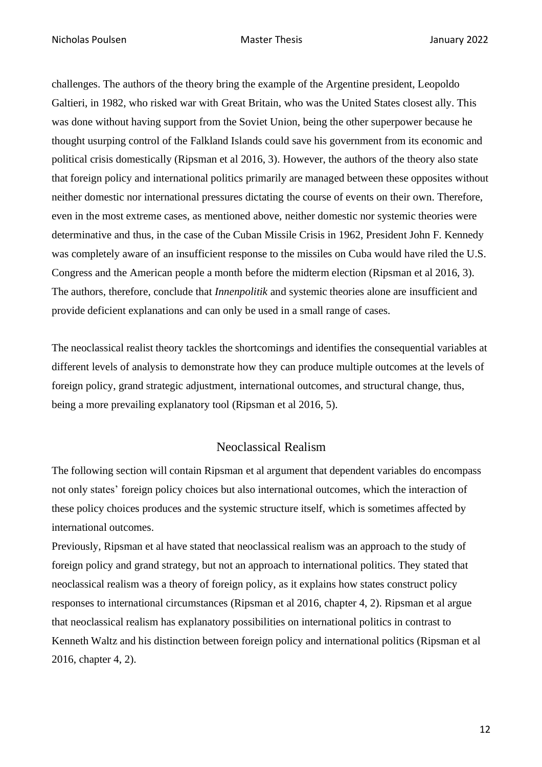challenges. The authors of the theory bring the example of the Argentine president, Leopoldo Galtieri, in 1982, who risked war with Great Britain, who was the United States closest ally. This was done without having support from the Soviet Union, being the other superpower because he thought usurping control of the Falkland Islands could save his government from its economic and political crisis domestically (Ripsman et al 2016, 3). However, the authors of the theory also state that foreign policy and international politics primarily are managed between these opposites without neither domestic nor international pressures dictating the course of events on their own. Therefore, even in the most extreme cases, as mentioned above, neither domestic nor systemic theories were determinative and thus, in the case of the Cuban Missile Crisis in 1962, President John F. Kennedy was completely aware of an insufficient response to the missiles on Cuba would have riled the U.S. Congress and the American people a month before the midterm election (Ripsman et al 2016, 3). The authors, therefore, conclude that *Innenpolitik* and systemic theories alone are insufficient and provide deficient explanations and can only be used in a small range of cases.

The neoclassical realist theory tackles the shortcomings and identifies the consequential variables at different levels of analysis to demonstrate how they can produce multiple outcomes at the levels of foreign policy, grand strategic adjustment, international outcomes, and structural change, thus, being a more prevailing explanatory tool (Ripsman et al 2016, 5).

## Neoclassical Realism

The following section will contain Ripsman et al argument that dependent variables do encompass not only states' foreign policy choices but also international outcomes, which the interaction of these policy choices produces and the systemic structure itself, which is sometimes affected by international outcomes.

Previously, Ripsman et al have stated that neoclassical realism was an approach to the study of foreign policy and grand strategy, but not an approach to international politics. They stated that neoclassical realism was a theory of foreign policy, as it explains how states construct policy responses to international circumstances (Ripsman et al 2016, chapter 4, 2). Ripsman et al argue that neoclassical realism has explanatory possibilities on international politics in contrast to Kenneth Waltz and his distinction between foreign policy and international politics (Ripsman et al 2016, chapter 4, 2).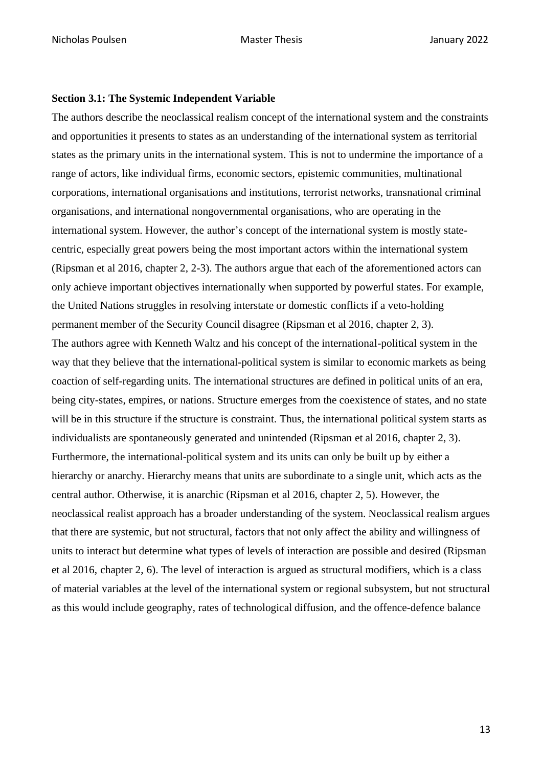#### <span id="page-12-0"></span>**Section 3.1: The Systemic Independent Variable**

The authors describe the neoclassical realism concept of the international system and the constraints and opportunities it presents to states as an understanding of the international system as territorial states as the primary units in the international system. This is not to undermine the importance of a range of actors, like individual firms, economic sectors, epistemic communities, multinational corporations, international organisations and institutions, terrorist networks, transnational criminal organisations, and international nongovernmental organisations, who are operating in the international system. However, the author's concept of the international system is mostly statecentric, especially great powers being the most important actors within the international system (Ripsman et al 2016, chapter 2, 2-3). The authors argue that each of the aforementioned actors can only achieve important objectives internationally when supported by powerful states. For example, the United Nations struggles in resolving interstate or domestic conflicts if a veto-holding permanent member of the Security Council disagree (Ripsman et al 2016, chapter 2, 3). The authors agree with Kenneth Waltz and his concept of the international-political system in the way that they believe that the international-political system is similar to economic markets as being coaction of self-regarding units. The international structures are defined in political units of an era, being city-states, empires, or nations. Structure emerges from the coexistence of states, and no state will be in this structure if the structure is constraint. Thus, the international political system starts as individualists are spontaneously generated and unintended (Ripsman et al 2016, chapter 2, 3). Furthermore, the international-political system and its units can only be built up by either a hierarchy or anarchy. Hierarchy means that units are subordinate to a single unit, which acts as the central author. Otherwise, it is anarchic (Ripsman et al 2016, chapter 2, 5). However, the neoclassical realist approach has a broader understanding of the system. Neoclassical realism argues that there are systemic, but not structural, factors that not only affect the ability and willingness of units to interact but determine what types of levels of interaction are possible and desired (Ripsman et al 2016, chapter 2, 6). The level of interaction is argued as structural modifiers, which is a class of material variables at the level of the international system or regional subsystem, but not structural as this would include geography, rates of technological diffusion, and the offence-defence balance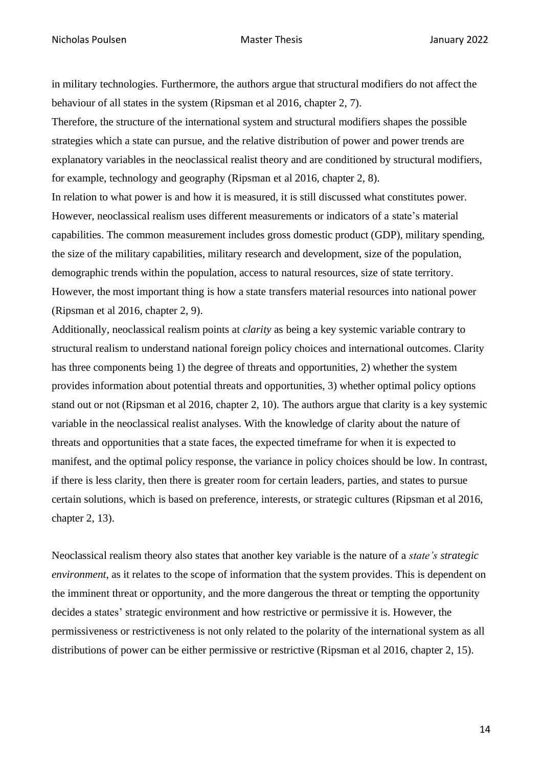in military technologies. Furthermore, the authors argue that structural modifiers do not affect the behaviour of all states in the system (Ripsman et al 2016, chapter 2, 7).

Therefore, the structure of the international system and structural modifiers shapes the possible strategies which a state can pursue, and the relative distribution of power and power trends are explanatory variables in the neoclassical realist theory and are conditioned by structural modifiers, for example, technology and geography (Ripsman et al 2016, chapter 2, 8). In relation to what power is and how it is measured, it is still discussed what constitutes power. However, neoclassical realism uses different measurements or indicators of a state's material capabilities. The common measurement includes gross domestic product (GDP), military spending, the size of the military capabilities, military research and development, size of the population,

demographic trends within the population, access to natural resources, size of state territory. However, the most important thing is how a state transfers material resources into national power (Ripsman et al 2016, chapter 2, 9).

Additionally, neoclassical realism points at *clarity* as being a key systemic variable contrary to structural realism to understand national foreign policy choices and international outcomes. Clarity has three components being 1) the degree of threats and opportunities, 2) whether the system provides information about potential threats and opportunities, 3) whether optimal policy options stand out or not (Ripsman et al 2016, chapter 2, 10). The authors argue that clarity is a key systemic variable in the neoclassical realist analyses. With the knowledge of clarity about the nature of threats and opportunities that a state faces, the expected timeframe for when it is expected to manifest, and the optimal policy response, the variance in policy choices should be low. In contrast, if there is less clarity, then there is greater room for certain leaders, parties, and states to pursue certain solutions, which is based on preference, interests, or strategic cultures (Ripsman et al 2016, chapter 2, 13).

Neoclassical realism theory also states that another key variable is the nature of a *state's strategic environment*, as it relates to the scope of information that the system provides. This is dependent on the imminent threat or opportunity, and the more dangerous the threat or tempting the opportunity decides a states' strategic environment and how restrictive or permissive it is. However, the permissiveness or restrictiveness is not only related to the polarity of the international system as all distributions of power can be either permissive or restrictive (Ripsman et al 2016, chapter 2, 15).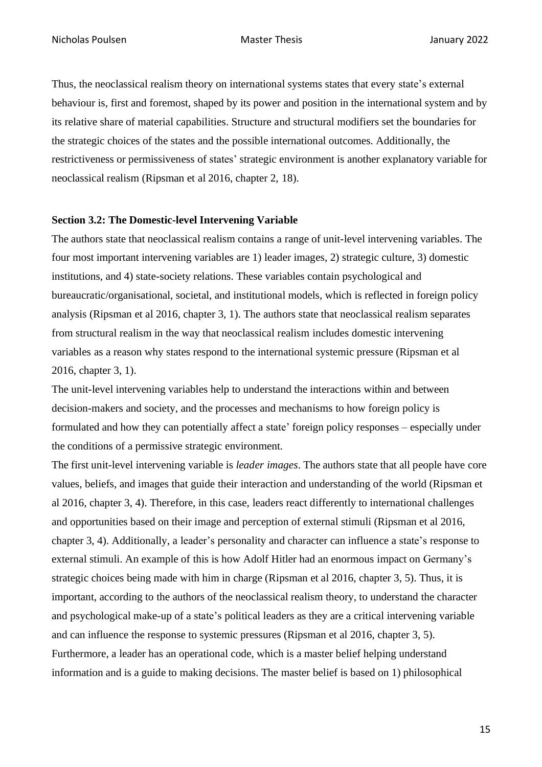Thus, the neoclassical realism theory on international systems states that every state's external behaviour is, first and foremost, shaped by its power and position in the international system and by its relative share of material capabilities. Structure and structural modifiers set the boundaries for the strategic choices of the states and the possible international outcomes. Additionally, the restrictiveness or permissiveness of states' strategic environment is another explanatory variable for neoclassical realism (Ripsman et al 2016, chapter 2, 18).

#### <span id="page-14-0"></span>**Section 3.2: The Domestic-level Intervening Variable**

The authors state that neoclassical realism contains a range of unit-level intervening variables. The four most important intervening variables are 1) leader images, 2) strategic culture, 3) domestic institutions, and 4) state-society relations. These variables contain psychological and bureaucratic/organisational, societal, and institutional models, which is reflected in foreign policy analysis (Ripsman et al 2016, chapter 3, 1). The authors state that neoclassical realism separates from structural realism in the way that neoclassical realism includes domestic intervening variables as a reason why states respond to the international systemic pressure (Ripsman et al 2016, chapter 3, 1).

The unit-level intervening variables help to understand the interactions within and between decision-makers and society, and the processes and mechanisms to how foreign policy is formulated and how they can potentially affect a state' foreign policy responses – especially under the conditions of a permissive strategic environment.

The first unit-level intervening variable is *leader images*. The authors state that all people have core values, beliefs, and images that guide their interaction and understanding of the world (Ripsman et al 2016, chapter 3, 4). Therefore, in this case, leaders react differently to international challenges and opportunities based on their image and perception of external stimuli (Ripsman et al 2016, chapter 3, 4). Additionally, a leader's personality and character can influence a state's response to external stimuli. An example of this is how Adolf Hitler had an enormous impact on Germany's strategic choices being made with him in charge (Ripsman et al 2016, chapter 3, 5). Thus, it is important, according to the authors of the neoclassical realism theory, to understand the character and psychological make-up of a state's political leaders as they are a critical intervening variable and can influence the response to systemic pressures (Ripsman et al 2016, chapter 3, 5). Furthermore, a leader has an operational code, which is a master belief helping understand information and is a guide to making decisions. The master belief is based on 1) philosophical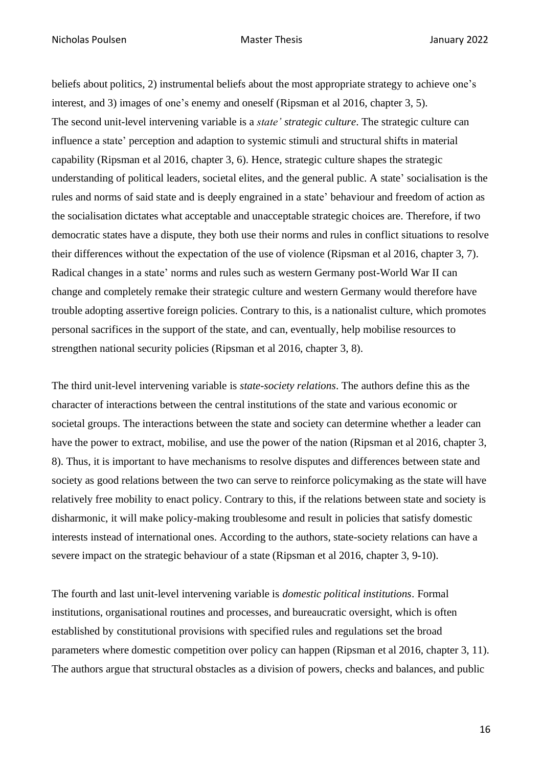beliefs about politics, 2) instrumental beliefs about the most appropriate strategy to achieve one's interest, and 3) images of one's enemy and oneself (Ripsman et al 2016, chapter 3, 5). The second unit-level intervening variable is a *state' strategic culture*. The strategic culture can influence a state' perception and adaption to systemic stimuli and structural shifts in material capability (Ripsman et al 2016, chapter 3, 6). Hence, strategic culture shapes the strategic understanding of political leaders, societal elites, and the general public. A state' socialisation is the rules and norms of said state and is deeply engrained in a state' behaviour and freedom of action as the socialisation dictates what acceptable and unacceptable strategic choices are. Therefore, if two democratic states have a dispute, they both use their norms and rules in conflict situations to resolve their differences without the expectation of the use of violence (Ripsman et al 2016, chapter 3, 7). Radical changes in a state' norms and rules such as western Germany post-World War II can change and completely remake their strategic culture and western Germany would therefore have trouble adopting assertive foreign policies. Contrary to this, is a nationalist culture, which promotes personal sacrifices in the support of the state, and can, eventually, help mobilise resources to strengthen national security policies (Ripsman et al 2016, chapter 3, 8).

The third unit-level intervening variable is *state-society relations*. The authors define this as the character of interactions between the central institutions of the state and various economic or societal groups. The interactions between the state and society can determine whether a leader can have the power to extract, mobilise, and use the power of the nation (Ripsman et al 2016, chapter 3, 8). Thus, it is important to have mechanisms to resolve disputes and differences between state and society as good relations between the two can serve to reinforce policymaking as the state will have relatively free mobility to enact policy. Contrary to this, if the relations between state and society is disharmonic, it will make policy-making troublesome and result in policies that satisfy domestic interests instead of international ones. According to the authors, state-society relations can have a severe impact on the strategic behaviour of a state (Ripsman et al 2016, chapter 3, 9-10).

The fourth and last unit-level intervening variable is *domestic political institutions*. Formal institutions, organisational routines and processes, and bureaucratic oversight, which is often established by constitutional provisions with specified rules and regulations set the broad parameters where domestic competition over policy can happen (Ripsman et al 2016, chapter 3, 11). The authors argue that structural obstacles as a division of powers, checks and balances, and public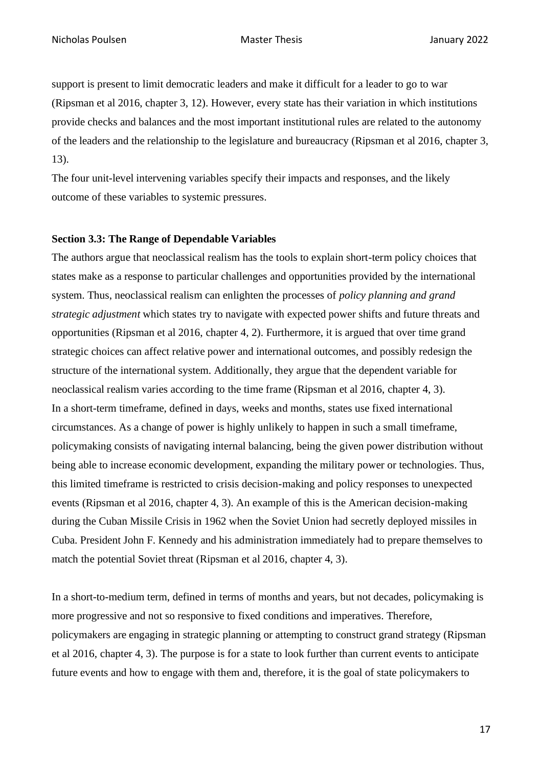support is present to limit democratic leaders and make it difficult for a leader to go to war (Ripsman et al 2016, chapter 3, 12). However, every state has their variation in which institutions provide checks and balances and the most important institutional rules are related to the autonomy of the leaders and the relationship to the legislature and bureaucracy (Ripsman et al 2016, chapter 3, 13).

The four unit-level intervening variables specify their impacts and responses, and the likely outcome of these variables to systemic pressures.

### <span id="page-16-0"></span>**Section 3.3: The Range of Dependable Variables**

The authors argue that neoclassical realism has the tools to explain short-term policy choices that states make as a response to particular challenges and opportunities provided by the international system. Thus, neoclassical realism can enlighten the processes of *policy planning and grand strategic adjustment* which states try to navigate with expected power shifts and future threats and opportunities (Ripsman et al 2016, chapter 4, 2). Furthermore, it is argued that over time grand strategic choices can affect relative power and international outcomes, and possibly redesign the structure of the international system. Additionally, they argue that the dependent variable for neoclassical realism varies according to the time frame (Ripsman et al 2016, chapter 4, 3). In a short-term timeframe, defined in days, weeks and months, states use fixed international circumstances. As a change of power is highly unlikely to happen in such a small timeframe, policymaking consists of navigating internal balancing, being the given power distribution without being able to increase economic development, expanding the military power or technologies. Thus, this limited timeframe is restricted to crisis decision-making and policy responses to unexpected events (Ripsman et al 2016, chapter 4, 3). An example of this is the American decision-making during the Cuban Missile Crisis in 1962 when the Soviet Union had secretly deployed missiles in Cuba. President John F. Kennedy and his administration immediately had to prepare themselves to match the potential Soviet threat (Ripsman et al 2016, chapter 4, 3).

In a short-to-medium term, defined in terms of months and years, but not decades, policymaking is more progressive and not so responsive to fixed conditions and imperatives. Therefore, policymakers are engaging in strategic planning or attempting to construct grand strategy (Ripsman et al 2016, chapter 4, 3). The purpose is for a state to look further than current events to anticipate future events and how to engage with them and, therefore, it is the goal of state policymakers to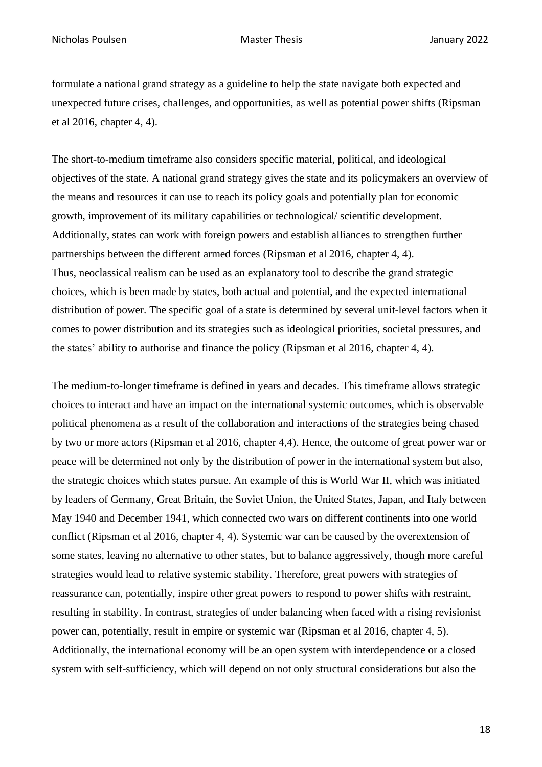formulate a national grand strategy as a guideline to help the state navigate both expected and unexpected future crises, challenges, and opportunities, as well as potential power shifts (Ripsman et al 2016, chapter 4, 4).

The short-to-medium timeframe also considers specific material, political, and ideological objectives of the state. A national grand strategy gives the state and its policymakers an overview of the means and resources it can use to reach its policy goals and potentially plan for economic growth, improvement of its military capabilities or technological/ scientific development. Additionally, states can work with foreign powers and establish alliances to strengthen further partnerships between the different armed forces (Ripsman et al 2016, chapter 4, 4). Thus, neoclassical realism can be used as an explanatory tool to describe the grand strategic choices, which is been made by states, both actual and potential, and the expected international distribution of power. The specific goal of a state is determined by several unit-level factors when it comes to power distribution and its strategies such as ideological priorities, societal pressures, and the states' ability to authorise and finance the policy (Ripsman et al 2016, chapter 4, 4).

The medium-to-longer timeframe is defined in years and decades. This timeframe allows strategic choices to interact and have an impact on the international systemic outcomes, which is observable political phenomena as a result of the collaboration and interactions of the strategies being chased by two or more actors (Ripsman et al 2016, chapter 4,4). Hence, the outcome of great power war or peace will be determined not only by the distribution of power in the international system but also, the strategic choices which states pursue. An example of this is World War II, which was initiated by leaders of Germany, Great Britain, the Soviet Union, the United States, Japan, and Italy between May 1940 and December 1941, which connected two wars on different continents into one world conflict (Ripsman et al 2016, chapter 4, 4). Systemic war can be caused by the overextension of some states, leaving no alternative to other states, but to balance aggressively, though more careful strategies would lead to relative systemic stability. Therefore, great powers with strategies of reassurance can, potentially, inspire other great powers to respond to power shifts with restraint, resulting in stability. In contrast, strategies of under balancing when faced with a rising revisionist power can, potentially, result in empire or systemic war (Ripsman et al 2016, chapter 4, 5). Additionally, the international economy will be an open system with interdependence or a closed system with self-sufficiency, which will depend on not only structural considerations but also the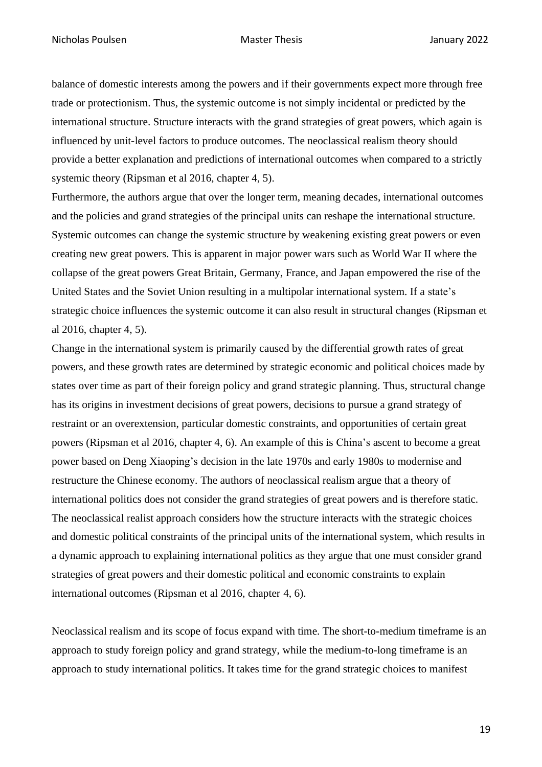balance of domestic interests among the powers and if their governments expect more through free trade or protectionism. Thus, the systemic outcome is not simply incidental or predicted by the international structure. Structure interacts with the grand strategies of great powers, which again is influenced by unit-level factors to produce outcomes. The neoclassical realism theory should provide a better explanation and predictions of international outcomes when compared to a strictly systemic theory (Ripsman et al 2016, chapter 4, 5).

Furthermore, the authors argue that over the longer term, meaning decades, international outcomes and the policies and grand strategies of the principal units can reshape the international structure. Systemic outcomes can change the systemic structure by weakening existing great powers or even creating new great powers. This is apparent in major power wars such as World War II where the collapse of the great powers Great Britain, Germany, France, and Japan empowered the rise of the United States and the Soviet Union resulting in a multipolar international system. If a state's strategic choice influences the systemic outcome it can also result in structural changes (Ripsman et al 2016, chapter 4, 5).

Change in the international system is primarily caused by the differential growth rates of great powers, and these growth rates are determined by strategic economic and political choices made by states over time as part of their foreign policy and grand strategic planning. Thus, structural change has its origins in investment decisions of great powers, decisions to pursue a grand strategy of restraint or an overextension, particular domestic constraints, and opportunities of certain great powers (Ripsman et al 2016, chapter 4, 6). An example of this is China's ascent to become a great power based on Deng Xiaoping's decision in the late 1970s and early 1980s to modernise and restructure the Chinese economy. The authors of neoclassical realism argue that a theory of international politics does not consider the grand strategies of great powers and is therefore static. The neoclassical realist approach considers how the structure interacts with the strategic choices and domestic political constraints of the principal units of the international system, which results in a dynamic approach to explaining international politics as they argue that one must consider grand strategies of great powers and their domestic political and economic constraints to explain international outcomes (Ripsman et al 2016, chapter 4, 6).

Neoclassical realism and its scope of focus expand with time. The short-to-medium timeframe is an approach to study foreign policy and grand strategy, while the medium-to-long timeframe is an approach to study international politics. It takes time for the grand strategic choices to manifest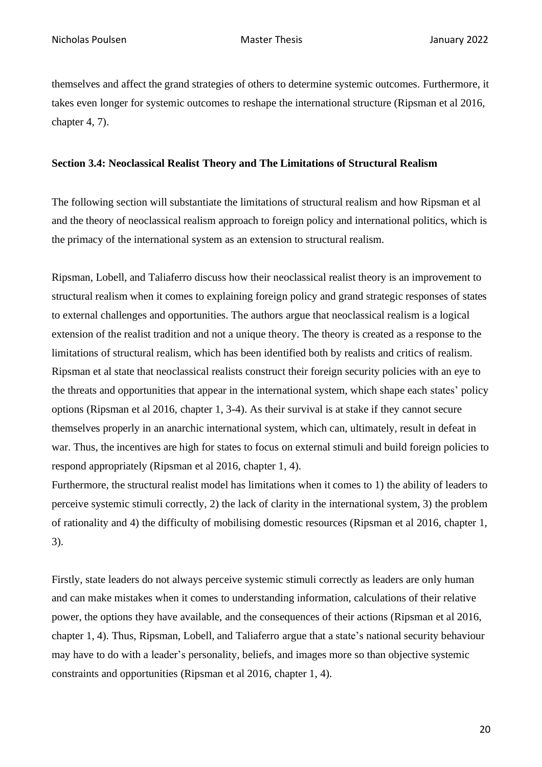themselves and affect the grand strategies of others to determine systemic outcomes. Furthermore, it takes even longer for systemic outcomes to reshape the international structure (Ripsman et al 2016, chapter 4, 7).

### <span id="page-19-0"></span>**Section 3.4: Neoclassical Realist Theory and The Limitations of Structural Realism**

The following section will substantiate the limitations of structural realism and how Ripsman et al and the theory of neoclassical realism approach to foreign policy and international politics, which is the primacy of the international system as an extension to structural realism.

Ripsman, Lobell, and Taliaferro discuss how their neoclassical realist theory is an improvement to structural realism when it comes to explaining foreign policy and grand strategic responses of states to external challenges and opportunities. The authors argue that neoclassical realism is a logical extension of the realist tradition and not a unique theory. The theory is created as a response to the limitations of structural realism, which has been identified both by realists and critics of realism. Ripsman et al state that neoclassical realists construct their foreign security policies with an eye to the threats and opportunities that appear in the international system, which shape each states' policy options (Ripsman et al 2016, chapter 1, 3-4). As their survival is at stake if they cannot secure themselves properly in an anarchic international system, which can, ultimately, result in defeat in war. Thus, the incentives are high for states to focus on external stimuli and build foreign policies to respond appropriately (Ripsman et al 2016, chapter 1, 4).

Furthermore, the structural realist model has limitations when it comes to 1) the ability of leaders to perceive systemic stimuli correctly, 2) the lack of clarity in the international system, 3) the problem of rationality and 4) the difficulty of mobilising domestic resources (Ripsman et al 2016, chapter 1, 3).

Firstly, state leaders do not always perceive systemic stimuli correctly as leaders are only human and can make mistakes when it comes to understanding information, calculations of their relative power, the options they have available, and the consequences of their actions (Ripsman et al 2016, chapter 1, 4). Thus, Ripsman, Lobell, and Taliaferro argue that a state's national security behaviour may have to do with a leader's personality, beliefs, and images more so than objective systemic constraints and opportunities (Ripsman et al 2016, chapter 1, 4).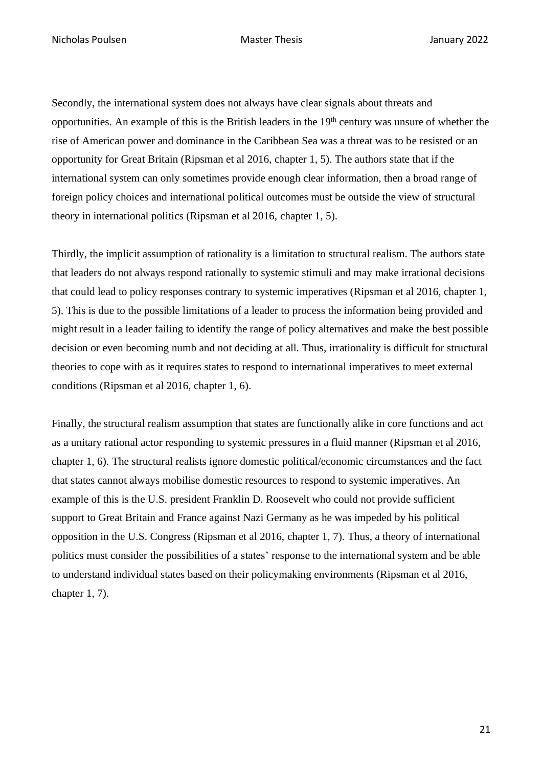Nicholas Poulsen Master Thesis January 2022

Secondly, the international system does not always have clear signals about threats and opportunities. An example of this is the British leaders in the 19th century was unsure of whether the rise of American power and dominance in the Caribbean Sea was a threat was to be resisted or an opportunity for Great Britain (Ripsman et al 2016, chapter 1, 5). The authors state that if the international system can only sometimes provide enough clear information, then a broad range of foreign policy choices and international political outcomes must be outside the view of structural theory in international politics (Ripsman et al 2016, chapter 1, 5).

Thirdly, the implicit assumption of rationality is a limitation to structural realism. The authors state that leaders do not always respond rationally to systemic stimuli and may make irrational decisions that could lead to policy responses contrary to systemic imperatives (Ripsman et al 2016, chapter 1, 5). This is due to the possible limitations of a leader to process the information being provided and might result in a leader failing to identify the range of policy alternatives and make the best possible decision or even becoming numb and not deciding at all. Thus, irrationality is difficult for structural theories to cope with as it requires states to respond to international imperatives to meet external conditions (Ripsman et al 2016, chapter 1, 6).

Finally, the structural realism assumption that states are functionally alike in core functions and act as a unitary rational actor responding to systemic pressures in a fluid manner (Ripsman et al 2016, chapter 1, 6). The structural realists ignore domestic political/economic circumstances and the fact that states cannot always mobilise domestic resources to respond to systemic imperatives. An example of this is the U.S. president Franklin D. Roosevelt who could not provide sufficient support to Great Britain and France against Nazi Germany as he was impeded by his political opposition in the U.S. Congress (Ripsman et al 2016, chapter 1, 7). Thus, a theory of international politics must consider the possibilities of a states' response to the international system and be able to understand individual states based on their policymaking environments (Ripsman et al 2016, chapter 1, 7).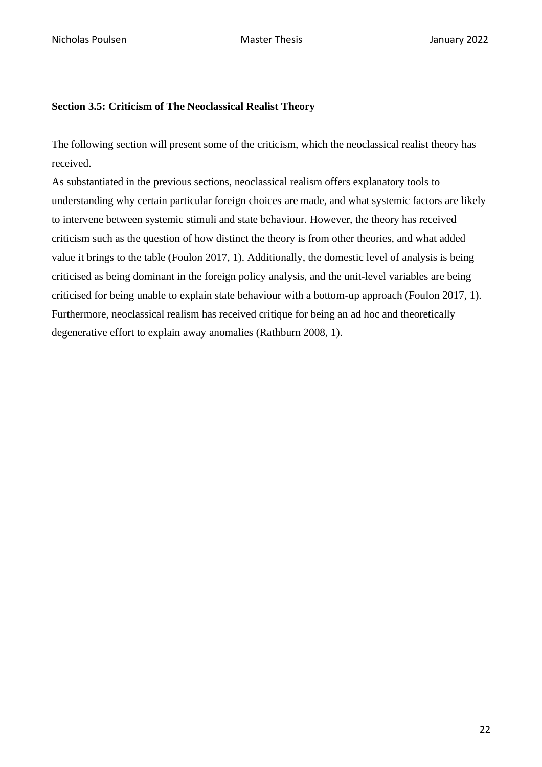### <span id="page-21-0"></span>**Section 3.5: Criticism of The Neoclassical Realist Theory**

The following section will present some of the criticism, which the neoclassical realist theory has received.

As substantiated in the previous sections, neoclassical realism offers explanatory tools to understanding why certain particular foreign choices are made, and what systemic factors are likely to intervene between systemic stimuli and state behaviour. However, the theory has received criticism such as the question of how distinct the theory is from other theories, and what added value it brings to the table (Foulon 2017, 1). Additionally, the domestic level of analysis is being criticised as being dominant in the foreign policy analysis, and the unit-level variables are being criticised for being unable to explain state behaviour with a bottom-up approach (Foulon 2017, 1). Furthermore, neoclassical realism has received critique for being an ad hoc and theoretically degenerative effort to explain away anomalies (Rathburn 2008, 1).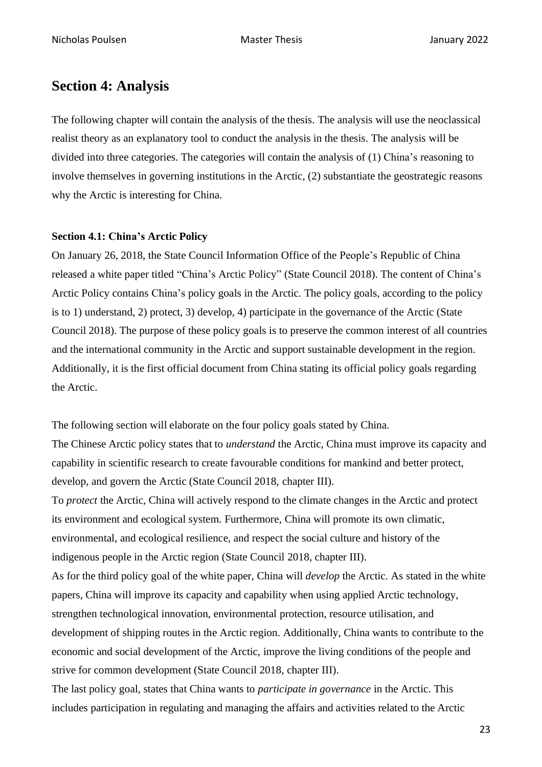# <span id="page-22-0"></span>**Section 4: Analysis**

The following chapter will contain the analysis of the thesis. The analysis will use the neoclassical realist theory as an explanatory tool to conduct the analysis in the thesis. The analysis will be divided into three categories. The categories will contain the analysis of (1) China's reasoning to involve themselves in governing institutions in the Arctic, (2) substantiate the geostrategic reasons why the Arctic is interesting for China.

### <span id="page-22-1"></span>**Section 4.1: China's Arctic Policy**

On January 26, 2018, the State Council Information Office of the People's Republic of China released a white paper titled "China's Arctic Policy" (State Council 2018). The content of China's Arctic Policy contains China's policy goals in the Arctic. The policy goals, according to the policy is to 1) understand, 2) protect, 3) develop, 4) participate in the governance of the Arctic (State Council 2018). The purpose of these policy goals is to preserve the common interest of all countries and the international community in the Arctic and support sustainable development in the region. Additionally, it is the first official document from China stating its official policy goals regarding the Arctic.

The following section will elaborate on the four policy goals stated by China.

The Chinese Arctic policy states that to *understand* the Arctic, China must improve its capacity and capability in scientific research to create favourable conditions for mankind and better protect, develop, and govern the Arctic (State Council 2018, chapter III).

To *protect* the Arctic, China will actively respond to the climate changes in the Arctic and protect its environment and ecological system. Furthermore, China will promote its own climatic, environmental, and ecological resilience, and respect the social culture and history of the indigenous people in the Arctic region (State Council 2018, chapter III). As for the third policy goal of the white paper, China will *develop* the Arctic. As stated in the white papers, China will improve its capacity and capability when using applied Arctic technology, strengthen technological innovation, environmental protection, resource utilisation, and development of shipping routes in the Arctic region. Additionally, China wants to contribute to the economic and social development of the Arctic, improve the living conditions of the people and strive for common development (State Council 2018, chapter III).

The last policy goal, states that China wants to *participate in governance* in the Arctic. This includes participation in regulating and managing the affairs and activities related to the Arctic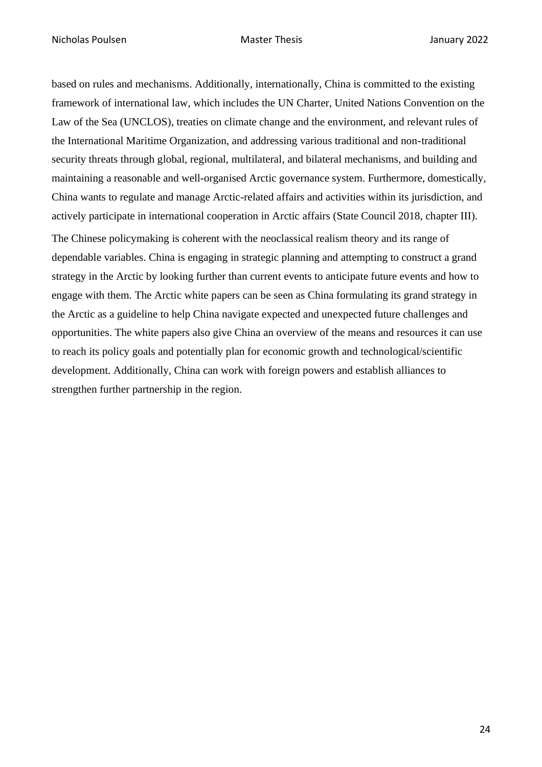based on rules and mechanisms. Additionally, internationally, China is committed to the existing framework of international law, which includes the UN Charter, United Nations Convention on the Law of the Sea (UNCLOS), treaties on climate change and the environment, and relevant rules of the International Maritime Organization, and addressing various traditional and non-traditional security threats through global, regional, multilateral, and bilateral mechanisms, and building and maintaining a reasonable and well-organised Arctic governance system. Furthermore, domestically, China wants to regulate and manage Arctic-related affairs and activities within its jurisdiction, and actively participate in international cooperation in Arctic affairs (State Council 2018, chapter III). The Chinese policymaking is coherent with the neoclassical realism theory and its range of dependable variables. China is engaging in strategic planning and attempting to construct a grand strategy in the Arctic by looking further than current events to anticipate future events and how to engage with them. The Arctic white papers can be seen as China formulating its grand strategy in the Arctic as a guideline to help China navigate expected and unexpected future challenges and opportunities. The white papers also give China an overview of the means and resources it can use to reach its policy goals and potentially plan for economic growth and technological/scientific development. Additionally, China can work with foreign powers and establish alliances to strengthen further partnership in the region.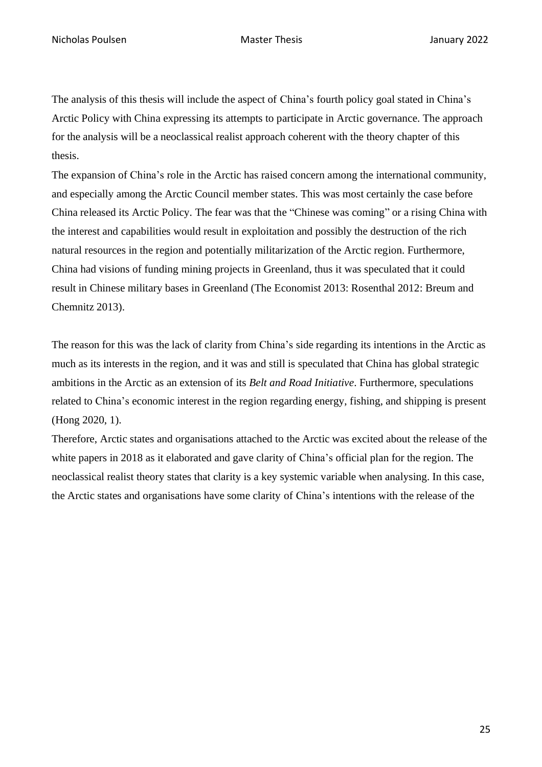The analysis of this thesis will include the aspect of China's fourth policy goal stated in China's Arctic Policy with China expressing its attempts to participate in Arctic governance. The approach for the analysis will be a neoclassical realist approach coherent with the theory chapter of this thesis.

The expansion of China's role in the Arctic has raised concern among the international community, and especially among the Arctic Council member states. This was most certainly the case before China released its Arctic Policy. The fear was that the "Chinese was coming" or a rising China with the interest and capabilities would result in exploitation and possibly the destruction of the rich natural resources in the region and potentially militarization of the Arctic region. Furthermore, China had visions of funding mining projects in Greenland, thus it was speculated that it could result in Chinese military bases in Greenland (The Economist 2013: Rosenthal 2012: Breum and Chemnitz 2013).

The reason for this was the lack of clarity from China's side regarding its intentions in the Arctic as much as its interests in the region, and it was and still is speculated that China has global strategic ambitions in the Arctic as an extension of its *Belt and Road Initiative*. Furthermore, speculations related to China's economic interest in the region regarding energy, fishing, and shipping is present (Hong 2020, 1).

Therefore, Arctic states and organisations attached to the Arctic was excited about the release of the white papers in 2018 as it elaborated and gave clarity of China's official plan for the region. The neoclassical realist theory states that clarity is a key systemic variable when analysing. In this case, the Arctic states and organisations have some clarity of China's intentions with the release of the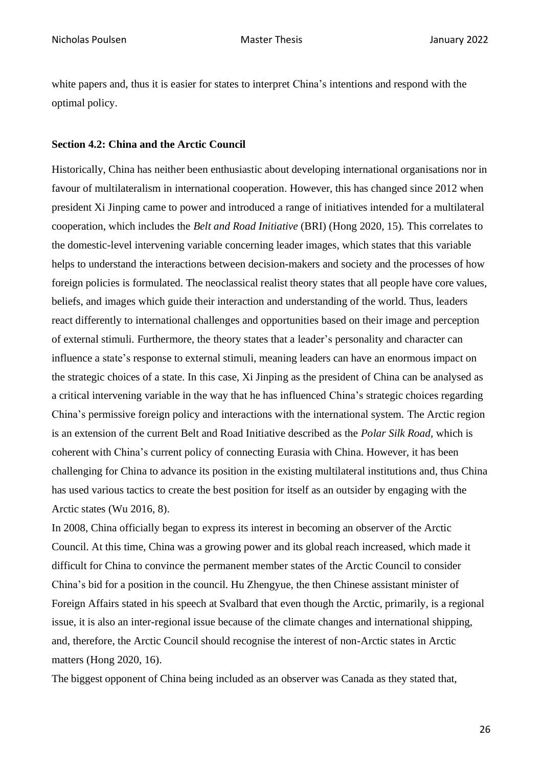white papers and, thus it is easier for states to interpret China's intentions and respond with the optimal policy.

### <span id="page-25-0"></span>**Section 4.2: China and the Arctic Council**

Historically, China has neither been enthusiastic about developing international organisations nor in favour of multilateralism in international cooperation. However, this has changed since 2012 when president Xi Jinping came to power and introduced a range of initiatives intended for a multilateral cooperation, which includes the *Belt and Road Initiative* (BRI) (Hong 2020, 15)*.* This correlates to the domestic-level intervening variable concerning leader images, which states that this variable helps to understand the interactions between decision-makers and society and the processes of how foreign policies is formulated. The neoclassical realist theory states that all people have core values, beliefs, and images which guide their interaction and understanding of the world. Thus, leaders react differently to international challenges and opportunities based on their image and perception of external stimuli. Furthermore, the theory states that a leader's personality and character can influence a state's response to external stimuli, meaning leaders can have an enormous impact on the strategic choices of a state. In this case, Xi Jinping as the president of China can be analysed as a critical intervening variable in the way that he has influenced China's strategic choices regarding China's permissive foreign policy and interactions with the international system. The Arctic region is an extension of the current Belt and Road Initiative described as the *Polar Silk Road,* which is coherent with China's current policy of connecting Eurasia with China. However, it has been challenging for China to advance its position in the existing multilateral institutions and, thus China has used various tactics to create the best position for itself as an outsider by engaging with the Arctic states (Wu 2016, 8).

In 2008, China officially began to express its interest in becoming an observer of the Arctic Council. At this time, China was a growing power and its global reach increased, which made it difficult for China to convince the permanent member states of the Arctic Council to consider China's bid for a position in the council. Hu Zhengyue, the then Chinese assistant minister of Foreign Affairs stated in his speech at Svalbard that even though the Arctic, primarily, is a regional issue, it is also an inter-regional issue because of the climate changes and international shipping, and, therefore, the Arctic Council should recognise the interest of non-Arctic states in Arctic matters (Hong 2020, 16).

The biggest opponent of China being included as an observer was Canada as they stated that,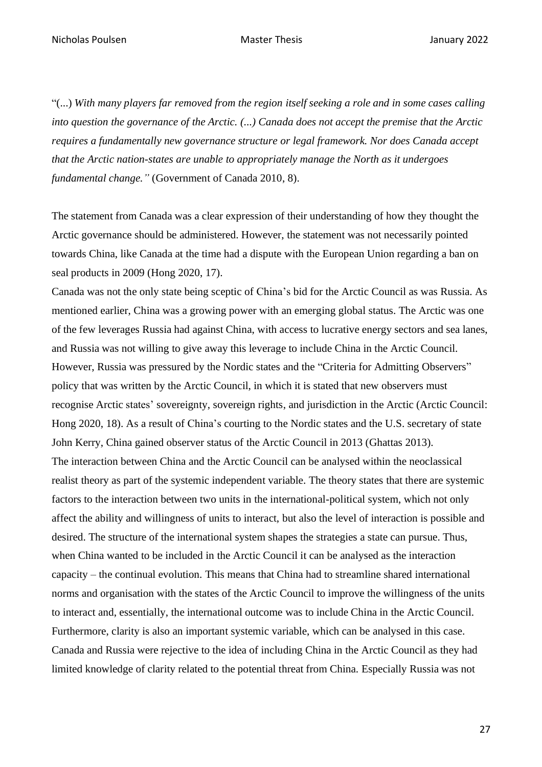"(...) *With many players far removed from the region itself seeking a role and in some cases calling into question the governance of the Arctic. (...) Canada does not accept the premise that the Arctic requires a fundamentally new governance structure or legal framework. Nor does Canada accept that the Arctic nation-states are unable to appropriately manage the North as it undergoes fundamental change."* (Government of Canada 2010, 8).

The statement from Canada was a clear expression of their understanding of how they thought the Arctic governance should be administered. However, the statement was not necessarily pointed towards China, like Canada at the time had a dispute with the European Union regarding a ban on seal products in 2009 (Hong 2020, 17).

Canada was not the only state being sceptic of China's bid for the Arctic Council as was Russia. As mentioned earlier, China was a growing power with an emerging global status. The Arctic was one of the few leverages Russia had against China, with access to lucrative energy sectors and sea lanes, and Russia was not willing to give away this leverage to include China in the Arctic Council. However, Russia was pressured by the Nordic states and the "Criteria for Admitting Observers" policy that was written by the Arctic Council, in which it is stated that new observers must recognise Arctic states' sovereignty, sovereign rights, and jurisdiction in the Arctic (Arctic Council: Hong 2020, 18). As a result of China's courting to the Nordic states and the U.S. secretary of state John Kerry, China gained observer status of the Arctic Council in 2013 (Ghattas 2013). The interaction between China and the Arctic Council can be analysed within the neoclassical realist theory as part of the systemic independent variable. The theory states that there are systemic factors to the interaction between two units in the international-political system, which not only affect the ability and willingness of units to interact, but also the level of interaction is possible and desired. The structure of the international system shapes the strategies a state can pursue. Thus, when China wanted to be included in the Arctic Council it can be analysed as the interaction capacity – the continual evolution. This means that China had to streamline shared international norms and organisation with the states of the Arctic Council to improve the willingness of the units to interact and, essentially, the international outcome was to include China in the Arctic Council. Furthermore, clarity is also an important systemic variable, which can be analysed in this case. Canada and Russia were rejective to the idea of including China in the Arctic Council as they had limited knowledge of clarity related to the potential threat from China. Especially Russia was not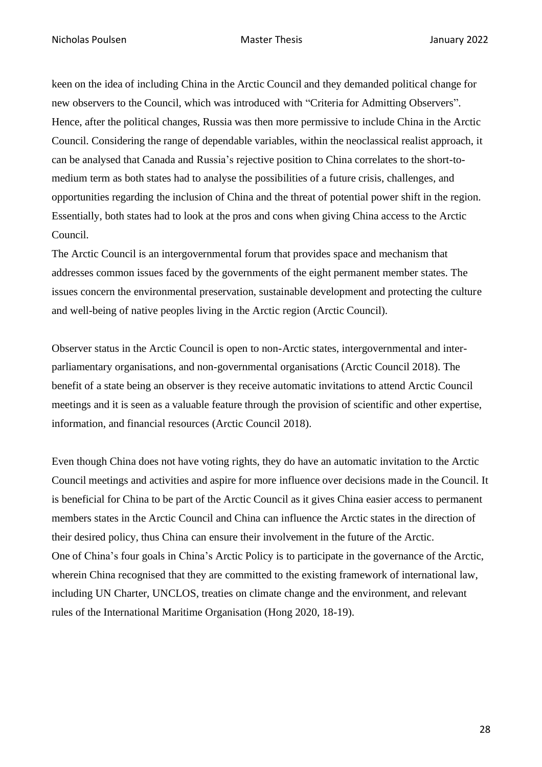keen on the idea of including China in the Arctic Council and they demanded political change for new observers to the Council, which was introduced with "Criteria for Admitting Observers". Hence, after the political changes, Russia was then more permissive to include China in the Arctic Council. Considering the range of dependable variables, within the neoclassical realist approach, it can be analysed that Canada and Russia's rejective position to China correlates to the short-tomedium term as both states had to analyse the possibilities of a future crisis, challenges, and opportunities regarding the inclusion of China and the threat of potential power shift in the region. Essentially, both states had to look at the pros and cons when giving China access to the Arctic Council.

The Arctic Council is an intergovernmental forum that provides space and mechanism that addresses common issues faced by the governments of the eight permanent member states. The issues concern the environmental preservation, sustainable development and protecting the culture and well-being of native peoples living in the Arctic region (Arctic Council).

Observer status in the Arctic Council is open to non-Arctic states, intergovernmental and interparliamentary organisations, and non-governmental organisations (Arctic Council 2018). The benefit of a state being an observer is they receive automatic invitations to attend Arctic Council meetings and it is seen as a valuable feature through the provision of scientific and other expertise, information, and financial resources (Arctic Council 2018).

Even though China does not have voting rights, they do have an automatic invitation to the Arctic Council meetings and activities and aspire for more influence over decisions made in the Council. It is beneficial for China to be part of the Arctic Council as it gives China easier access to permanent members states in the Arctic Council and China can influence the Arctic states in the direction of their desired policy, thus China can ensure their involvement in the future of the Arctic. One of China's four goals in China's Arctic Policy is to participate in the governance of the Arctic, wherein China recognised that they are committed to the existing framework of international law, including UN Charter, UNCLOS, treaties on climate change and the environment, and relevant rules of the International Maritime Organisation (Hong 2020, 18-19).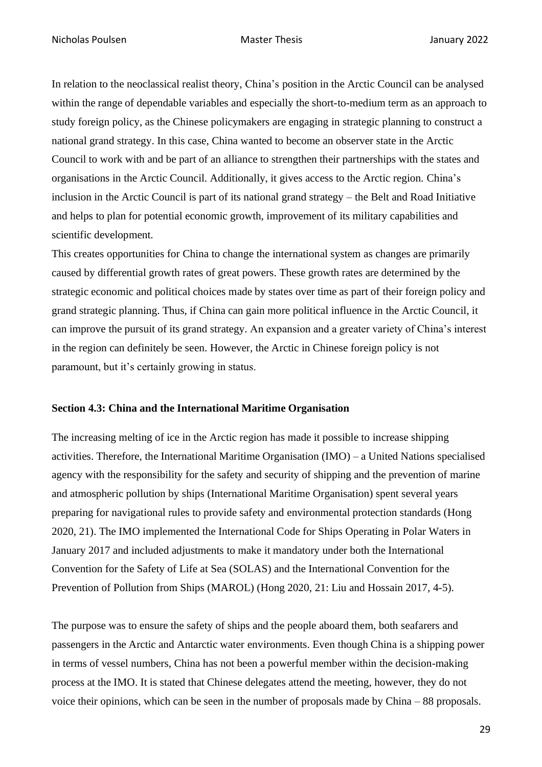In relation to the neoclassical realist theory, China's position in the Arctic Council can be analysed within the range of dependable variables and especially the short-to-medium term as an approach to study foreign policy, as the Chinese policymakers are engaging in strategic planning to construct a national grand strategy. In this case, China wanted to become an observer state in the Arctic Council to work with and be part of an alliance to strengthen their partnerships with the states and organisations in the Arctic Council. Additionally, it gives access to the Arctic region. China's inclusion in the Arctic Council is part of its national grand strategy – the Belt and Road Initiative and helps to plan for potential economic growth, improvement of its military capabilities and scientific development.

This creates opportunities for China to change the international system as changes are primarily caused by differential growth rates of great powers. These growth rates are determined by the strategic economic and political choices made by states over time as part of their foreign policy and grand strategic planning. Thus, if China can gain more political influence in the Arctic Council, it can improve the pursuit of its grand strategy. An expansion and a greater variety of China's interest in the region can definitely be seen. However, the Arctic in Chinese foreign policy is not paramount, but it's certainly growing in status.

#### <span id="page-28-0"></span>**Section 4.3: China and the International Maritime Organisation**

The increasing melting of ice in the Arctic region has made it possible to increase shipping activities. Therefore, the International Maritime Organisation (IMO) – a United Nations specialised agency with the responsibility for the safety and security of shipping and the prevention of marine and atmospheric pollution by ships (International Maritime Organisation) spent several years preparing for navigational rules to provide safety and environmental protection standards (Hong 2020, 21). The IMO implemented the International Code for Ships Operating in Polar Waters in January 2017 and included adjustments to make it mandatory under both the International Convention for the Safety of Life at Sea (SOLAS) and the International Convention for the Prevention of Pollution from Ships (MAROL) (Hong 2020, 21: Liu and Hossain 2017, 4-5).

The purpose was to ensure the safety of ships and the people aboard them, both seafarers and passengers in the Arctic and Antarctic water environments. Even though China is a shipping power in terms of vessel numbers, China has not been a powerful member within the decision-making process at the IMO. It is stated that Chinese delegates attend the meeting, however, they do not voice their opinions, which can be seen in the number of proposals made by China – 88 proposals.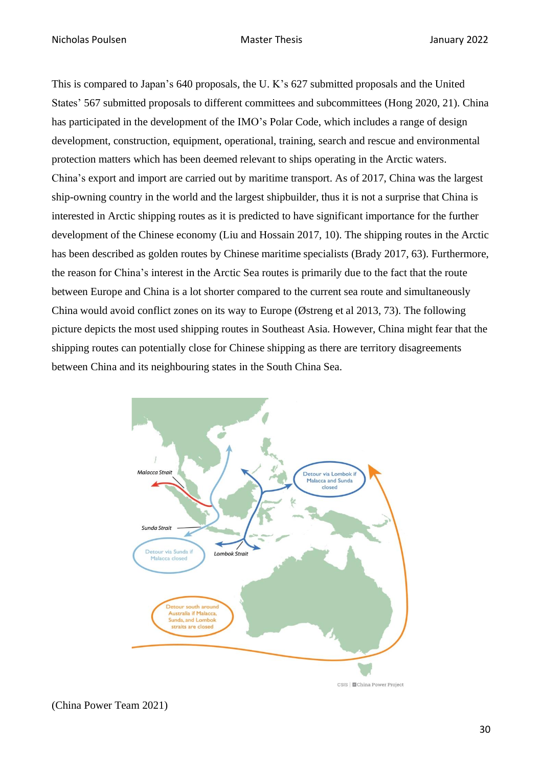This is compared to Japan's 640 proposals, the U. K's 627 submitted proposals and the United States' 567 submitted proposals to different committees and subcommittees (Hong 2020, 21). China has participated in the development of the IMO's Polar Code, which includes a range of design development, construction, equipment, operational, training, search and rescue and environmental protection matters which has been deemed relevant to ships operating in the Arctic waters. China's export and import are carried out by maritime transport. As of 2017, China was the largest ship-owning country in the world and the largest shipbuilder, thus it is not a surprise that China is interested in Arctic shipping routes as it is predicted to have significant importance for the further development of the Chinese economy (Liu and Hossain 2017, 10). The shipping routes in the Arctic has been described as golden routes by Chinese maritime specialists (Brady 2017, 63). Furthermore, the reason for China's interest in the Arctic Sea routes is primarily due to the fact that the route between Europe and China is a lot shorter compared to the current sea route and simultaneously China would avoid conflict zones on its way to Europe (Østreng et al 2013, 73). The following picture depicts the most used shipping routes in Southeast Asia. However, China might fear that the shipping routes can potentially close for Chinese shipping as there are territory disagreements between China and its neighbouring states in the South China Sea.



(China Power Team 2021)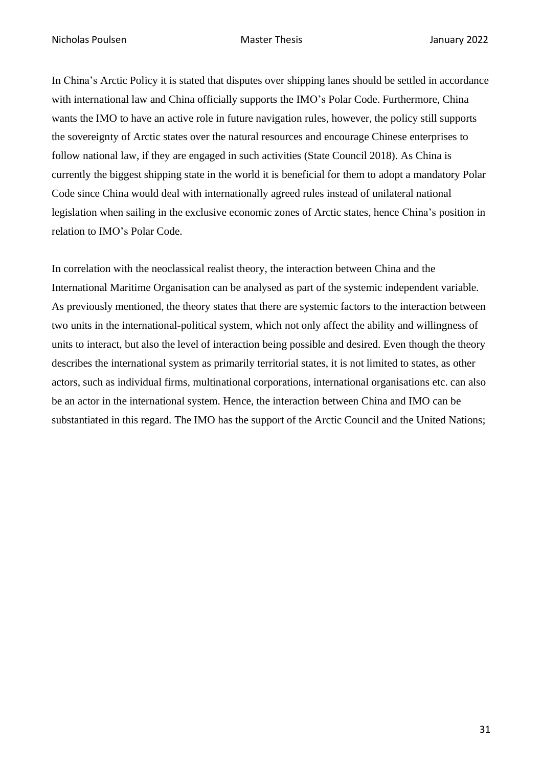In China's Arctic Policy it is stated that disputes over shipping lanes should be settled in accordance with international law and China officially supports the IMO's Polar Code. Furthermore, China wants the IMO to have an active role in future navigation rules, however, the policy still supports the sovereignty of Arctic states over the natural resources and encourage Chinese enterprises to follow national law, if they are engaged in such activities (State Council 2018). As China is currently the biggest shipping state in the world it is beneficial for them to adopt a mandatory Polar Code since China would deal with internationally agreed rules instead of unilateral national legislation when sailing in the exclusive economic zones of Arctic states, hence China's position in relation to IMO's Polar Code.

In correlation with the neoclassical realist theory, the interaction between China and the International Maritime Organisation can be analysed as part of the systemic independent variable. As previously mentioned, the theory states that there are systemic factors to the interaction between two units in the international-political system, which not only affect the ability and willingness of units to interact, but also the level of interaction being possible and desired. Even though the theory describes the international system as primarily territorial states, it is not limited to states, as other actors, such as individual firms, multinational corporations, international organisations etc. can also be an actor in the international system. Hence, the interaction between China and IMO can be substantiated in this regard. The IMO has the support of the Arctic Council and the United Nations;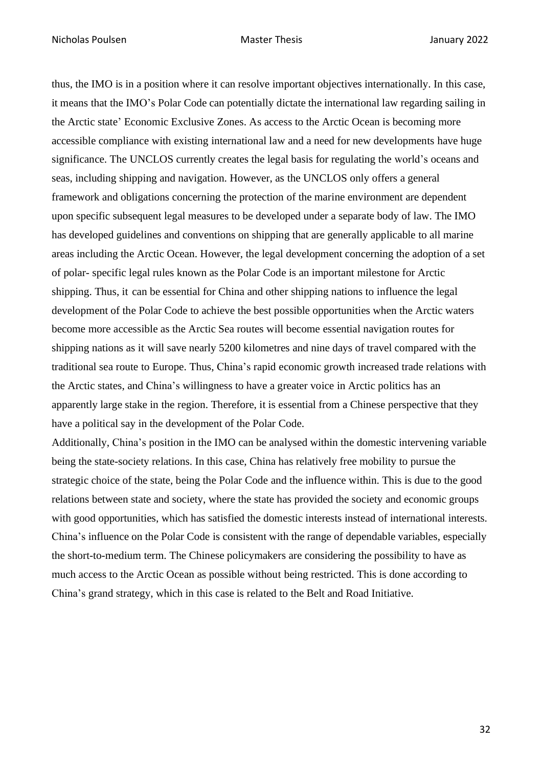thus, the IMO is in a position where it can resolve important objectives internationally. In this case, it means that the IMO's Polar Code can potentially dictate the international law regarding sailing in the Arctic state' Economic Exclusive Zones. As access to the Arctic Ocean is becoming more accessible compliance with existing international law and a need for new developments have huge significance. The UNCLOS currently creates the legal basis for regulating the world's oceans and seas, including shipping and navigation. However, as the UNCLOS only offers a general framework and obligations concerning the protection of the marine environment are dependent upon specific subsequent legal measures to be developed under a separate body of law. The IMO has developed guidelines and conventions on shipping that are generally applicable to all marine areas including the Arctic Ocean. However, the legal development concerning the adoption of a set of polar- specific legal rules known as the Polar Code is an important milestone for Arctic shipping. Thus, it can be essential for China and other shipping nations to influence the legal development of the Polar Code to achieve the best possible opportunities when the Arctic waters become more accessible as the Arctic Sea routes will become essential navigation routes for shipping nations as it will save nearly 5200 kilometres and nine days of travel compared with the traditional sea route to Europe. Thus, China's rapid economic growth increased trade relations with the Arctic states, and China's willingness to have a greater voice in Arctic politics has an apparently large stake in the region. Therefore, it is essential from a Chinese perspective that they have a political say in the development of the Polar Code.

Additionally, China's position in the IMO can be analysed within the domestic intervening variable being the state-society relations. In this case, China has relatively free mobility to pursue the strategic choice of the state, being the Polar Code and the influence within. This is due to the good relations between state and society, where the state has provided the society and economic groups with good opportunities, which has satisfied the domestic interests instead of international interests. China's influence on the Polar Code is consistent with the range of dependable variables, especially the short-to-medium term. The Chinese policymakers are considering the possibility to have as much access to the Arctic Ocean as possible without being restricted. This is done according to China's grand strategy, which in this case is related to the Belt and Road Initiative.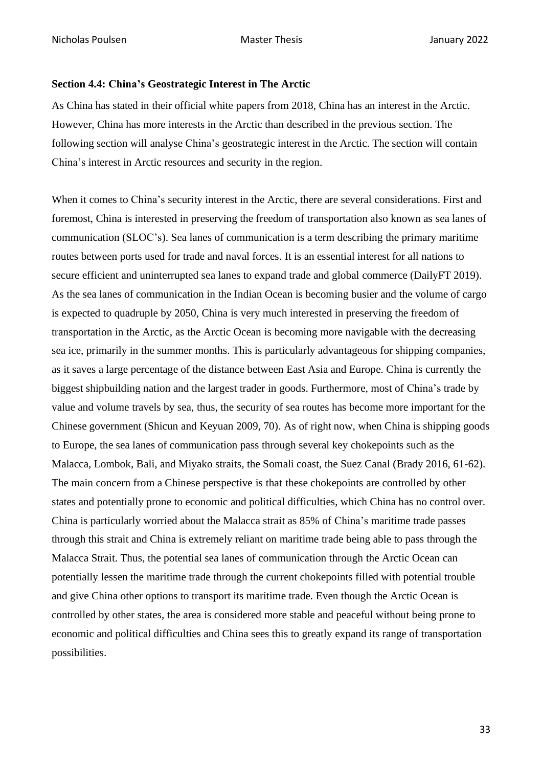#### <span id="page-32-0"></span>**Section 4.4: China's Geostrategic Interest in The Arctic**

As China has stated in their official white papers from 2018, China has an interest in the Arctic. However, China has more interests in the Arctic than described in the previous section. The following section will analyse China's geostrategic interest in the Arctic. The section will contain China's interest in Arctic resources and security in the region.

When it comes to China's security interest in the Arctic, there are several considerations. First and foremost, China is interested in preserving the freedom of transportation also known as sea lanes of communication (SLOC's). Sea lanes of communication is a term describing the primary maritime routes between ports used for trade and naval forces. It is an essential interest for all nations to secure efficient and uninterrupted sea lanes to expand trade and global commerce (DailyFT 2019). As the sea lanes of communication in the Indian Ocean is becoming busier and the volume of cargo is expected to quadruple by 2050, China is very much interested in preserving the freedom of transportation in the Arctic, as the Arctic Ocean is becoming more navigable with the decreasing sea ice, primarily in the summer months. This is particularly advantageous for shipping companies, as it saves a large percentage of the distance between East Asia and Europe. China is currently the biggest shipbuilding nation and the largest trader in goods. Furthermore, most of China's trade by value and volume travels by sea, thus, the security of sea routes has become more important for the Chinese government (Shicun and Keyuan 2009, 70). As of right now, when China is shipping goods to Europe, the sea lanes of communication pass through several key chokepoints such as the Malacca, Lombok, Bali, and Miyako straits, the Somali coast, the Suez Canal (Brady 2016, 61-62). The main concern from a Chinese perspective is that these chokepoints are controlled by other states and potentially prone to economic and political difficulties, which China has no control over. China is particularly worried about the Malacca strait as 85% of China's maritime trade passes through this strait and China is extremely reliant on maritime trade being able to pass through the Malacca Strait. Thus, the potential sea lanes of communication through the Arctic Ocean can potentially lessen the maritime trade through the current chokepoints filled with potential trouble and give China other options to transport its maritime trade. Even though the Arctic Ocean is controlled by other states, the area is considered more stable and peaceful without being prone to economic and political difficulties and China sees this to greatly expand its range of transportation possibilities.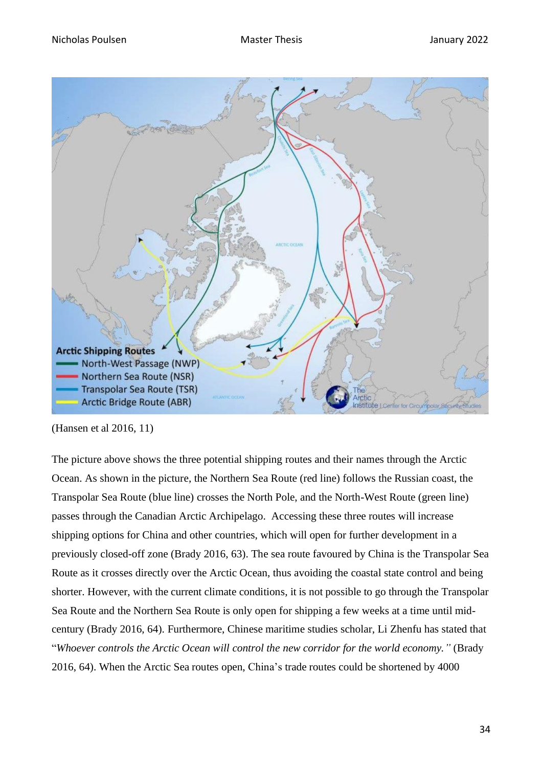

(Hansen et al 2016, 11)

The picture above shows the three potential shipping routes and their names through the Arctic Ocean. As shown in the picture, the Northern Sea Route (red line) follows the Russian coast, the Transpolar Sea Route (blue line) crosses the North Pole, and the North-West Route (green line) passes through the Canadian Arctic Archipelago. Accessing these three routes will increase shipping options for China and other countries, which will open for further development in a previously closed-off zone (Brady 2016, 63). The sea route favoured by China is the Transpolar Sea Route as it crosses directly over the Arctic Ocean, thus avoiding the coastal state control and being shorter. However, with the current climate conditions, it is not possible to go through the Transpolar Sea Route and the Northern Sea Route is only open for shipping a few weeks at a time until midcentury (Brady 2016, 64). Furthermore, Chinese maritime studies scholar, Li Zhenfu has stated that "*Whoever controls the Arctic Ocean will control the new corridor for the world economy."* (Brady 2016, 64). When the Arctic Sea routes open, China's trade routes could be shortened by 4000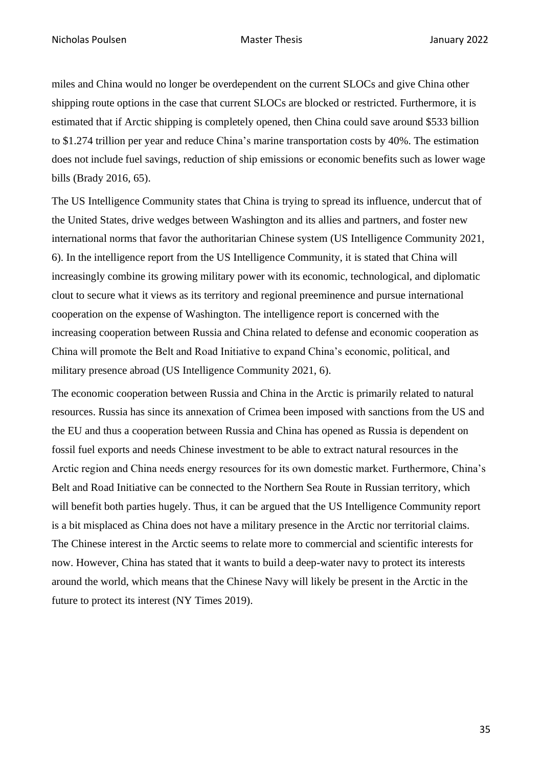miles and China would no longer be overdependent on the current SLOCs and give China other shipping route options in the case that current SLOCs are blocked or restricted. Furthermore, it is estimated that if Arctic shipping is completely opened, then China could save around \$533 billion to \$1.274 trillion per year and reduce China's marine transportation costs by 40%. The estimation does not include fuel savings, reduction of ship emissions or economic benefits such as lower wage bills (Brady 2016, 65).

The US Intelligence Community states that China is trying to spread its influence, undercut that of the United States, drive wedges between Washington and its allies and partners, and foster new international norms that favor the authoritarian Chinese system (US Intelligence Community 2021, 6). In the intelligence report from the US Intelligence Community, it is stated that China will increasingly combine its growing military power with its economic, technological, and diplomatic clout to secure what it views as its territory and regional preeminence and pursue international cooperation on the expense of Washington. The intelligence report is concerned with the increasing cooperation between Russia and China related to defense and economic cooperation as China will promote the Belt and Road Initiative to expand China's economic, political, and military presence abroad (US Intelligence Community 2021, 6).

The economic cooperation between Russia and China in the Arctic is primarily related to natural resources. Russia has since its annexation of Crimea been imposed with sanctions from the US and the EU and thus a cooperation between Russia and China has opened as Russia is dependent on fossil fuel exports and needs Chinese investment to be able to extract natural resources in the Arctic region and China needs energy resources for its own domestic market. Furthermore, China's Belt and Road Initiative can be connected to the Northern Sea Route in Russian territory, which will benefit both parties hugely. Thus, it can be argued that the US Intelligence Community report is a bit misplaced as China does not have a military presence in the Arctic nor territorial claims. The Chinese interest in the Arctic seems to relate more to commercial and scientific interests for now. However, China has stated that it wants to build a deep-water navy to protect its interests around the world, which means that the Chinese Navy will likely be present in the Arctic in the future to protect its interest (NY Times 2019).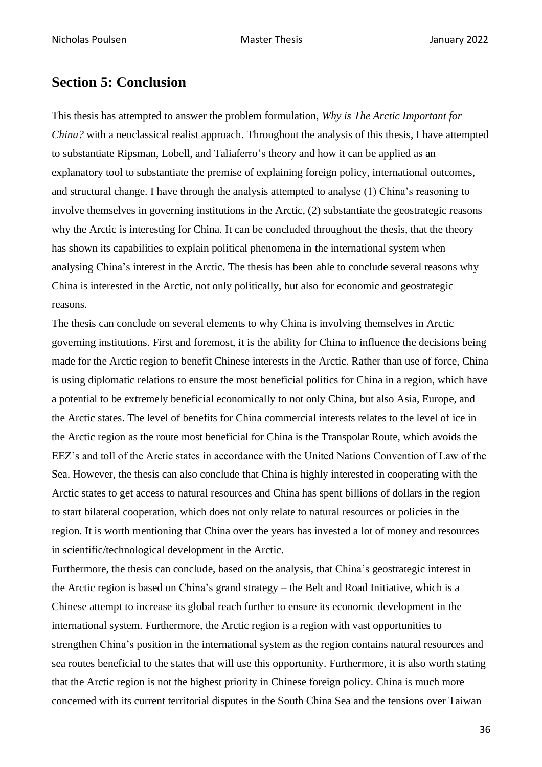# <span id="page-35-0"></span>**Section 5: Conclusion**

This thesis has attempted to answer the problem formulation, *Why is The Arctic Important for China?* with a neoclassical realist approach. Throughout the analysis of this thesis, I have attempted to substantiate Ripsman, Lobell, and Taliaferro's theory and how it can be applied as an explanatory tool to substantiate the premise of explaining foreign policy, international outcomes, and structural change. I have through the analysis attempted to analyse (1) China's reasoning to involve themselves in governing institutions in the Arctic, (2) substantiate the geostrategic reasons why the Arctic is interesting for China. It can be concluded throughout the thesis, that the theory has shown its capabilities to explain political phenomena in the international system when analysing China's interest in the Arctic. The thesis has been able to conclude several reasons why China is interested in the Arctic, not only politically, but also for economic and geostrategic reasons.

The thesis can conclude on several elements to why China is involving themselves in Arctic governing institutions. First and foremost, it is the ability for China to influence the decisions being made for the Arctic region to benefit Chinese interests in the Arctic. Rather than use of force, China is using diplomatic relations to ensure the most beneficial politics for China in a region, which have a potential to be extremely beneficial economically to not only China, but also Asia, Europe, and the Arctic states. The level of benefits for China commercial interests relates to the level of ice in the Arctic region as the route most beneficial for China is the Transpolar Route, which avoids the EEZ's and toll of the Arctic states in accordance with the United Nations Convention of Law of the Sea. However, the thesis can also conclude that China is highly interested in cooperating with the Arctic states to get access to natural resources and China has spent billions of dollars in the region to start bilateral cooperation, which does not only relate to natural resources or policies in the region. It is worth mentioning that China over the years has invested a lot of money and resources in scientific/technological development in the Arctic.

Furthermore, the thesis can conclude, based on the analysis, that China's geostrategic interest in the Arctic region is based on China's grand strategy – the Belt and Road Initiative, which is a Chinese attempt to increase its global reach further to ensure its economic development in the international system. Furthermore, the Arctic region is a region with vast opportunities to strengthen China's position in the international system as the region contains natural resources and sea routes beneficial to the states that will use this opportunity. Furthermore, it is also worth stating that the Arctic region is not the highest priority in Chinese foreign policy. China is much more concerned with its current territorial disputes in the South China Sea and the tensions over Taiwan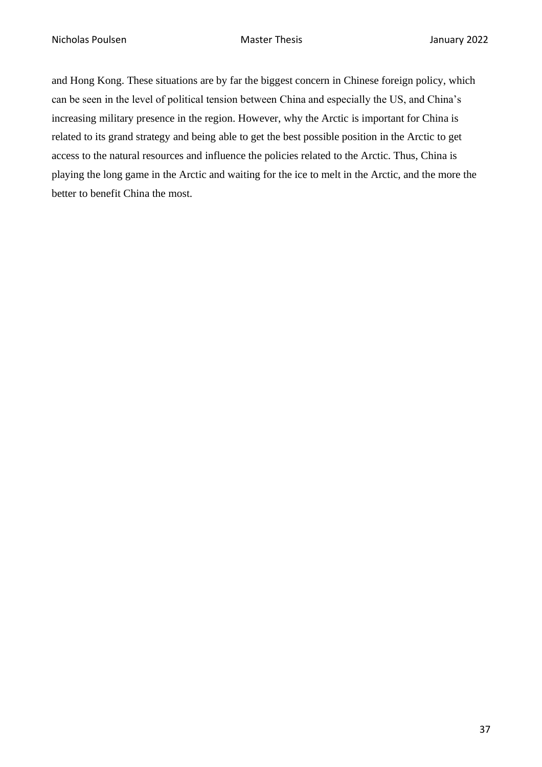and Hong Kong. These situations are by far the biggest concern in Chinese foreign policy, which can be seen in the level of political tension between China and especially the US, and China's increasing military presence in the region. However, why the Arctic is important for China is related to its grand strategy and being able to get the best possible position in the Arctic to get access to the natural resources and influence the policies related to the Arctic. Thus, China is playing the long game in the Arctic and waiting for the ice to melt in the Arctic, and the more the better to benefit China the most.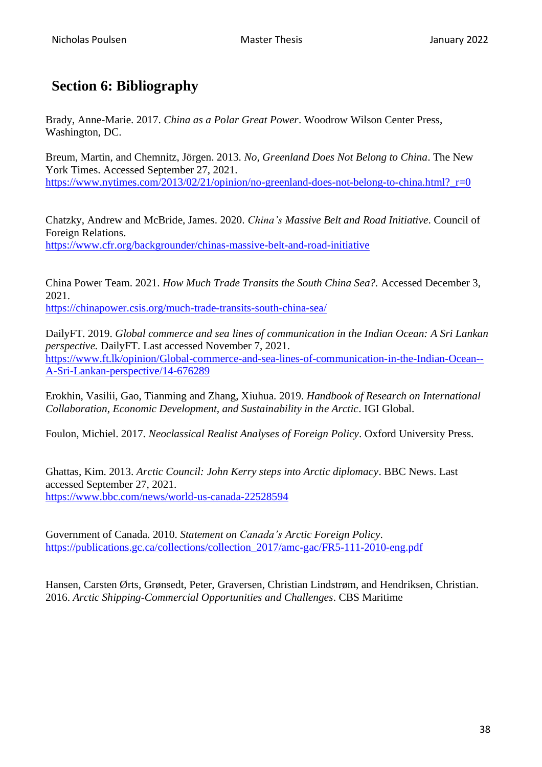# <span id="page-37-0"></span>**Section 6: Bibliography**

Brady, Anne-Marie. 2017. *China as a Polar Great Power*. Woodrow Wilson Center Press, Washington, DC.

Breum, Martin, and Chemnitz, Jörgen. 2013. *No, Greenland Does Not Belong to China*. The New York Times. Accessed September 27, 2021. https://www.nytimes.com/2013/02/21/opinion/no-greenland-does-not-belong-to-china.html? r=0

Chatzky, Andrew and McBride, James. 2020. *China's Massive Belt and Road Initiative*. Council of Foreign Relations. <https://www.cfr.org/backgrounder/chinas-massive-belt-and-road-initiative>

China Power Team. 2021. *How Much Trade Transits the South China Sea?.* Accessed December 3, 2021.

<https://chinapower.csis.org/much-trade-transits-south-china-sea/>

DailyFT. 2019. *Global commerce and sea lines of communication in the Indian Ocean: A Sri Lankan perspective.* DailyFT. Last accessed November 7, 2021. [https://www.ft.lk/opinion/Global-commerce-and-sea-lines-of-communication-in-the-Indian-Ocean--](https://www.ft.lk/opinion/Global-commerce-and-sea-lines-of-communication-in-the-Indian-Ocean--A-Sri-Lankan-perspective/14-676289) [A-Sri-Lankan-perspective/14-676289](https://www.ft.lk/opinion/Global-commerce-and-sea-lines-of-communication-in-the-Indian-Ocean--A-Sri-Lankan-perspective/14-676289)

Erokhin, Vasilii, Gao, Tianming and Zhang, Xiuhua. 2019. *Handbook of Research on International Collaboration, Economic Development, and Sustainability in the Arctic*. IGI Global.

Foulon, Michiel. 2017. *Neoclassical Realist Analyses of Foreign Policy*. Oxford University Press.

Ghattas, Kim. 2013. *Arctic Council: John Kerry steps into Arctic diplomacy*. BBC News. Last accessed September 27, 2021. <https://www.bbc.com/news/world-us-canada-22528594>

Government of Canada. 2010. *Statement on Canada's Arctic Foreign Policy*. [https://publications.gc.ca/collections/collection\\_2017/amc-gac/FR5-111-2010-eng.pdf](https://publications.gc.ca/collections/collection_2017/amc-gac/FR5-111-2010-eng.pdf)

Hansen, Carsten Ørts, Grønsedt, Peter, Graversen, Christian Lindstrøm, and Hendriksen, Christian. 2016. *Arctic Shipping-Commercial Opportunities and Challenges*. CBS Maritime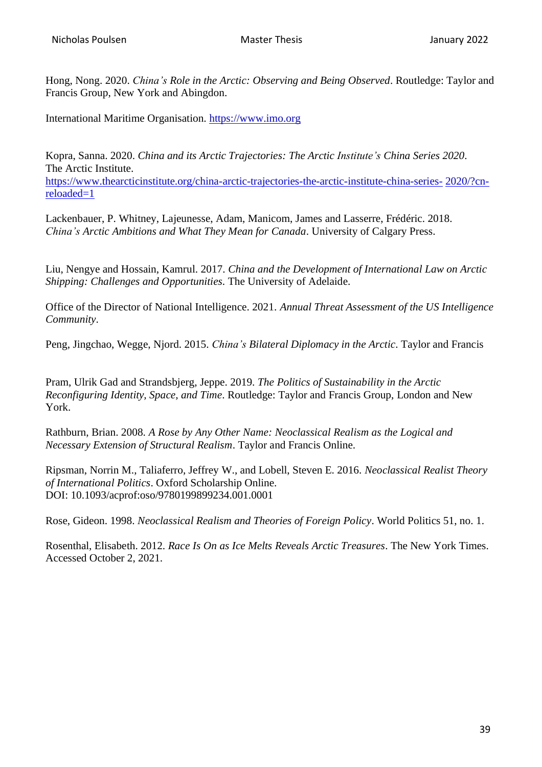Hong, Nong. 2020. *China's Role in the Arctic: Observing and Being Observed*. Routledge: Taylor and Francis Group, New York and Abingdon.

International Maritime Organisation. [https://www.imo.org](https://www.imo.org/)

Kopra, Sanna. 2020. *China and its Arctic Trajectories: The Arctic Institute's China Series 2020*. The Arctic Institute.

[https://www.thearcticinstitute.org/china-arctic-trajectories-the-arctic-institute-china-series-](https://www.thearcticinstitute.org/china-arctic-trajectories-the-arctic-institute-china-series-2020/?cn-reloaded=1) [2020/?cn](https://www.thearcticinstitute.org/china-arctic-trajectories-the-arctic-institute-china-series-2020/?cn-reloaded=1)[reloaded=1](https://www.thearcticinstitute.org/china-arctic-trajectories-the-arctic-institute-china-series-2020/?cn-reloaded=1)

Lackenbauer, P. Whitney, Lajeunesse, Adam, Manicom, James and Lasserre, Frédéric. 2018. *China's Arctic Ambitions and What They Mean for Canada*. University of Calgary Press.

Liu, Nengye and Hossain, Kamrul. 2017. *China and the Development of International Law on Arctic Shipping: Challenges and Opportunities.* The University of Adelaide.

Office of the Director of National Intelligence. 2021. *Annual Threat Assessment of the US Intelligence Community*.

Peng, Jingchao, Wegge, Njord. 2015. *China's Bilateral Diplomacy in the Arctic*. Taylor and Francis

Pram, Ulrik Gad and Strandsbjerg, Jeppe. 2019. *The Politics of Sustainability in the Arctic Reconfiguring Identity, Space, and Time*. Routledge: Taylor and Francis Group, London and New York.

Rathburn, Brian. 2008. *A Rose by Any Other Name: Neoclassical Realism as the Logical and Necessary Extension of Structural Realism*. Taylor and Francis Online.

Ripsman, Norrin M., Taliaferro, Jeffrey W., and Lobell, Steven E. 2016. *Neoclassical Realist Theory of International Politics*. Oxford Scholarship Online. DOI: 10.1093/acprof:oso/9780199899234.001.0001

Rose, Gideon. 1998. *Neoclassical Realism and Theories of Foreign Policy*. World Politics 51, no. 1.

Rosenthal, Elisabeth. 2012. *Race Is On as Ice Melts Reveals Arctic Treasures*. The New York Times. Accessed October 2, 2021.